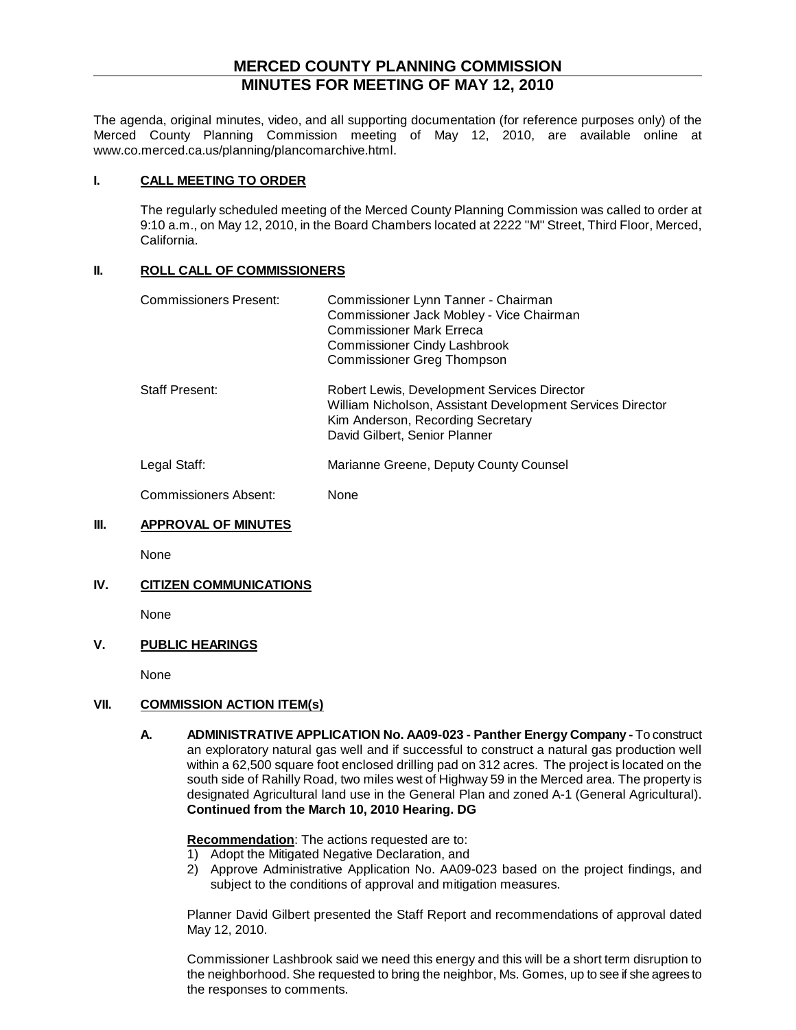# **MERCED COUNTY PLANNING COMMISSION MINUTES FOR MEETING OF MAY 12, 2010**

The agenda, original minutes, video, and all supporting documentation (for reference purposes only) of the Merced County Planning Commission meeting of May 12, 2010, are available online at www.co.merced.ca.us/planning/plancomarchive.html.

#### **I. CALL MEETING TO ORDER**

The regularly scheduled meeting of the Merced County Planning Commission was called to order at 9:10 a.m., on May 12, 2010, in the Board Chambers located at 2222 "M" Street, Third Floor, Merced, California.

#### **II. ROLL CALL OF COMMISSIONERS**

| Commissioners Present: | Commissioner Lynn Tanner - Chairman<br>Commissioner Jack Mobley - Vice Chairman<br><b>Commissioner Mark Erreca</b><br><b>Commissioner Cindy Lashbrook</b><br><b>Commissioner Greg Thompson</b> |
|------------------------|------------------------------------------------------------------------------------------------------------------------------------------------------------------------------------------------|
| <b>Staff Present:</b>  | Robert Lewis, Development Services Director<br>William Nicholson, Assistant Development Services Director<br>Kim Anderson, Recording Secretary<br>David Gilbert, Senior Planner                |
| Legal Staff:           | Marianne Greene, Deputy County Counsel                                                                                                                                                         |
| Commissioners Absent:  | None                                                                                                                                                                                           |

## **III. APPROVAL OF MINUTES**

None

## **IV. CITIZEN COMMUNICATIONS**

None

## **V. PUBLIC HEARINGS**

None

## **VII. COMMISSION ACTION ITEM(s)**

**A. ADMINISTRATIVE APPLICATION No. AA09-023 - Panther Energy Company -** To construct an exploratory natural gas well and if successful to construct a natural gas production well within a 62,500 square foot enclosed drilling pad on 312 acres. The project is located on the south side of Rahilly Road, two miles west of Highway 59 in the Merced area. The property is designated Agricultural land use in the General Plan and zoned A-1 (General Agricultural). **Continued from the March 10, 2010 Hearing. DG**

#### **Recommendation** : The actions requested are to:

- 1) Adopt the Mitigated Negative Declaration, and
- 2) Approve Administrative Application No. AA09-023 based on the project findings, and subject to the conditions of approval and mitigation measures.

Planner David Gilbert presented the Staff Report and recommendations of approval dated May 12, 2010.

Commissioner Lashbrook said we need this energy and this will be a short term disruption to the neighborhood. She requested to bring the neighbor, Ms. Gomes, up to see if she agrees to the responses to comments.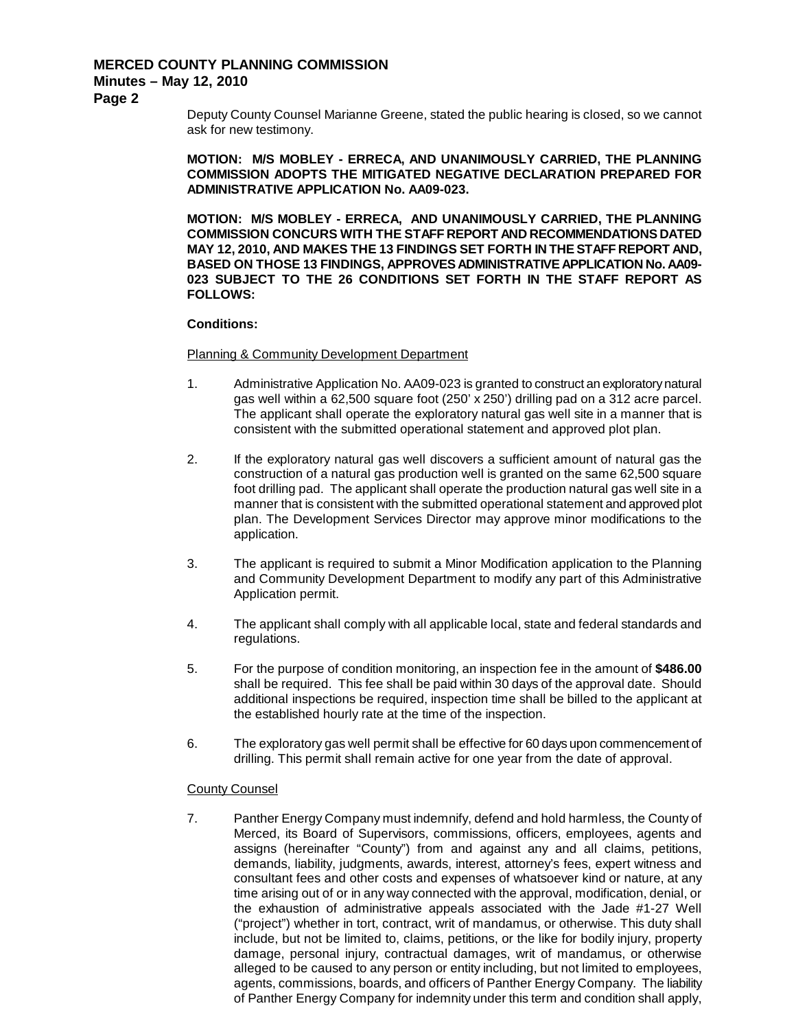**Page 2**

Deputy County Counsel Marianne Greene, stated the public hearing is closed, so we cannot ask for new testimony.

**MOTION: M/S MOBLEY - ERRECA, AND UNANIMOUSLY CARRIED, THE PLANNING COMMISSION ADOPTS THE MITIGATED NEGATIVE DECLARATION PREPARED FOR ADMINISTRATIVE APPLICATION No. AA09-023.**

**MOTION: M/S MOBLEY - ERRECA, AND UNANIMOUSLY CARRIED, THE PLANNING COMMISSION CONCURS WITH THE STAFF REPORT AND RECOMMENDATIONS DATED MAY 12, 2010, AND MAKES THE 13 FINDINGS SET FORTH IN THE STAFF REPORT AND, BASED ON THOSE 13 FINDINGS, APPROVES ADMINISTRATIVE APPLICATION No. AA09- 023 SUBJECT TO THE 26 CONDITIONS SET FORTH IN THE STAFF REPORT AS FOLLOWS:**

#### **Conditions:**

#### Planning & Community Development Department

- 1. Administrative Application No. AA09-023 is granted to construct an exploratory natural gas well within a 62,500 square foot (250' x 250') drilling pad on a 312 acre parcel. The applicant shall operate the exploratory natural gas well site in a manner that is consistent with the submitted operational statement and approved plot plan.
- 2. If the exploratory natural gas well discovers a sufficient amount of natural gas the construction of a natural gas production well is granted on the same 62,500 square foot drilling pad. The applicant shall operate the production natural gas well site in a manner that is consistent with the submitted operational statement and approved plot plan. The Development Services Director may approve minor modifications to the application.
- 3. The applicant is required to submit a Minor Modification application to the Planning and Community Development Department to modify any part of this Administrative Application permit.
- 4. The applicant shall comply with all applicable local, state and federal standards and regulations.
- 5. For the purpose of condition monitoring, an inspection fee in the amount of **\$486.00** shall be required. This fee shall be paid within 30 days of the approval date. Should additional inspections be required, inspection time shall be billed to the applicant at the established hourly rate at the time of the inspection.
- 6. The exploratory gas well permit shall be effective for 60 days upon commencement of drilling. This permit shall remain active for one year from the date of approval.

#### County Counsel

7. Panther Energy Company must indemnify, defend and hold harmless, the County of Merced, its Board of Supervisors, commissions, officers, employees, agents and assigns (hereinafter "County") from and against any and all claims, petitions, demands, liability, judgments, awards, interest, attorney's fees, expert witness and consultant fees and other costs and expenses of whatsoever kind or nature, at any time arising out of or in any way connected with the approval, modification, denial, or the exhaustion of administrative appeals associated with the Jade #1-27 Well ("project") whether in tort, contract, writ of mandamus, or otherwise. This duty shall include, but not be limited to, claims, petitions, or the like for bodily injury, property damage, personal injury, contractual damages, writ of mandamus, or otherwise alleged to be caused to any person or entity including, but not limited to employees, agents, commissions, boards, and officers of Panther Energy Company. The liability of Panther Energy Company for indemnity under this term and condition shall apply,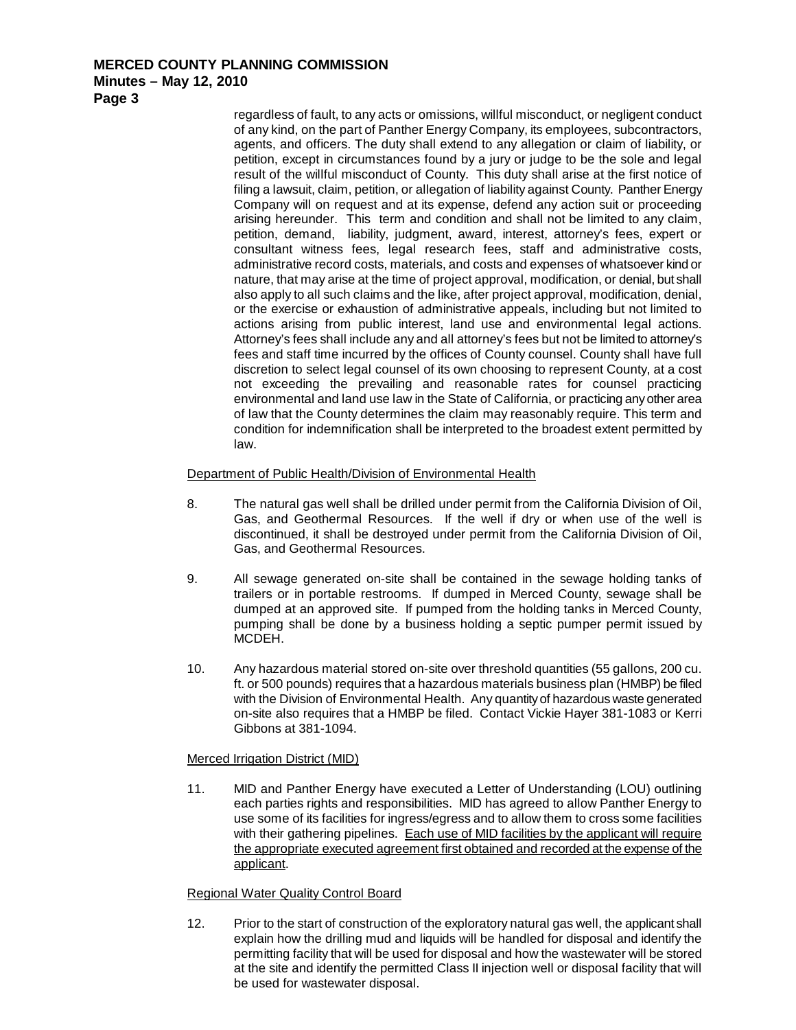## **Minutes – May 12, 2010**

**Page 3**

regardless of fault, to any acts or omissions, willful misconduct, or negligent conduct of any kind, on the part of Panther Energy Company, its employees, subcontractors, agents, and officers. The duty shall extend to any allegation or claim of liability, or petition, except in circumstances found by a jury or judge to be the sole and legal result of the willful misconduct of County. This duty shall arise at the first notice of filing a lawsuit, claim, petition, or allegation of liability against County. Panther Energy Company will on request and at its expense, defend any action suit or proceeding arising hereunder. This term and condition and shall not be limited to any claim, petition, demand, liability, judgment, award, interest, attorney's fees, expert or consultant witness fees, legal research fees, staff and administrative costs, administrative record costs, materials, and costs and expenses of whatsoever kind or nature, that may arise at the time of project approval, modification, or denial, but shall also apply to all such claims and the like, after project approval, modification, denial, or the exercise or exhaustion of administrative appeals, including but not limited to actions arising from public interest, land use and environmental legal actions. Attorney's fees shall include any and all attorney's fees but not be limited to attorney's fees and staff time incurred by the offices of County counsel. County shall have full discretion to select legal counsel of its own choosing to represent County, at a cost not exceeding the prevailing and reasonable rates for counsel practicing environmental and land use law in the State of California, or practicing any other area of law that the County determines the claim may reasonably require. This term and condition for indemnification shall be interpreted to the broadest extent permitted by law.

## Department of Public Health/Division of Environmental Health

- 8. The natural gas well shall be drilled under permit from the California Division of Oil, Gas, and Geothermal Resources. If the well if dry or when use of the well is discontinued, it shall be destroyed under permit from the California Division of Oil, Gas, and Geothermal Resources.
- 9. All sewage generated on-site shall be contained in the sewage holding tanks of trailers or in portable restrooms. If dumped in Merced County, sewage shall be dumped at an approved site. If pumped from the holding tanks in Merced County, pumping shall be done by a business holding a septic pumper permit issued by MCDEH.
- 10. Any hazardous material stored on-site over threshold quantities (55 gallons, 200 cu. ft. or 500 pounds) requires that a hazardous materials business plan (HMBP) be filed with the Division of Environmental Health. Any quantity of hazardous waste generated on-site also requires that a HMBP be filed. Contact Vickie Hayer 381-1083 or Kerri Gibbons at 381-1094.

## Merced Irrigation District (MID)

11. MID and Panther Energy have executed a Letter of Understanding (LOU) outlining each parties rights and responsibilities. MID has agreed to allow Panther Energy to use some of its facilities for ingress/egress and to allow them to cross some facilities with their gathering pipelines. Each use of MID facilities by the applicant will require the appropriate executed agreement first obtained and recorded at the expense of the applicant.

## Regional Water Quality Control Board

12. Prior to the start of construction of the exploratory natural gas well, the applicant shall explain how the drilling mud and liquids will be handled for disposal and identify the permitting facility that will be used for disposal and how the wastewater will be stored at the site and identify the permitted Class II injection well or disposal facility that will be used for wastewater disposal.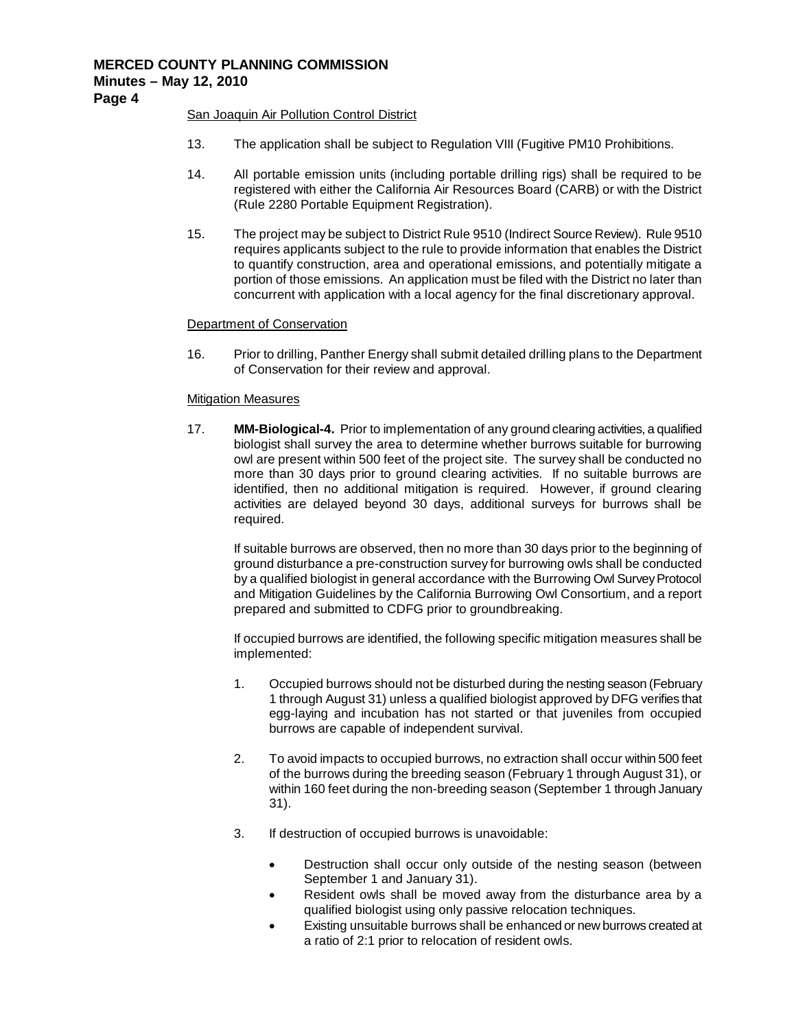## San Joaquin Air Pollution Control District

- 13. The application shall be subject to Regulation VIII (Fugitive PM10 Prohibitions.
- 14. All portable emission units (including portable drilling rigs) shall be required to be registered with either the California Air Resources Board (CARB) or with the District (Rule 2280 Portable Equipment Registration).
- 15. The project may be subject to District Rule 9510 (Indirect Source Review). Rule 9510 requires applicants subject to the rule to provide information that enables the District to quantify construction, area and operational emissions, and potentially mitigate a portion of those emissions. An application must be filed with the District no later than concurrent with application with a local agency for the final discretionary approval.

## Department of Conservation

16. Prior to drilling, Panther Energy shall submit detailed drilling plans to the Department of Conservation for their review and approval.

#### Mitigation Measures

17. **MM-Biological-4.** Prior to implementation of any ground clearing activities, a qualified biologist shall survey the area to determine whether burrows suitable for burrowing owl are present within 500 feet of the project site. The survey shall be conducted no more than 30 days prior to ground clearing activities. If no suitable burrows are identified, then no additional mitigation is required. However, if ground clearing activities are delayed beyond 30 days, additional surveys for burrows shall be required.

If suitable burrows are observed, then no more than 30 days prior to the beginning of ground disturbance a pre-construction survey for burrowing owls shall be conducted by a qualified biologist in general accordance with the Burrowing Owl Survey Protocol and Mitigation Guidelines by the California Burrowing Owl Consortium, and a report prepared and submitted to CDFG prior to groundbreaking.

If occupied burrows are identified, the following specific mitigation measures shall be implemented:

- 1. Occupied burrows should not be disturbed during the nesting season (February 1 through August 31) unless a qualified biologist approved by DFG verifies that egg-laying and incubation has not started or that juveniles from occupied burrows are capable of independent survival.
- 2. To avoid impacts to occupied burrows, no extraction shall occur within 500 feet of the burrows during the breeding season (February 1 through August 31), or within 160 feet during the non-breeding season (September 1 through January 31).
- 3. If destruction of occupied burrows is unavoidable:
	- Destruction shall occur only outside of the nesting season (between September 1 and January 31).
	- Resident owls shall be moved away from the disturbance area by a qualified biologist using only passive relocation techniques.
	- Existing unsuitable burrows shall be enhanced or new burrows created at a ratio of 2:1 prior to relocation of resident owls.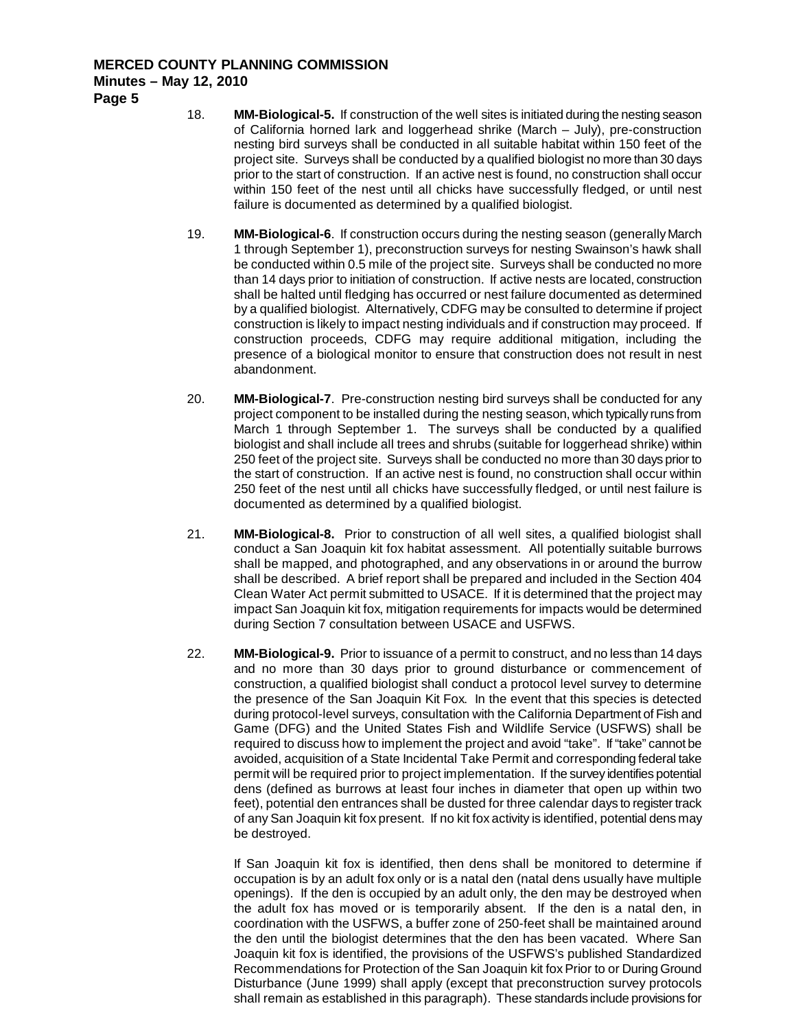- 18. **MM-Biological-5.** If construction of the well sites is initiated during the nesting season of California horned lark and loggerhead shrike (March – July), pre-construction nesting bird surveys shall be conducted in all suitable habitat within 150 feet of the project site. Surveys shall be conducted by a qualified biologist no more than 30 days prior to the start of construction. If an active nest is found, no construction shall occur within 150 feet of the nest until all chicks have successfully fledged, or until nest failure is documented as determined by a qualified biologist.
- 19. **MM-Biological-6**. If construction occurs during the nesting season (generally March 1 through September 1), preconstruction surveys for nesting Swainson's hawk shall be conducted within 0.5 mile of the project site. Surveys shall be conducted no more than 14 days prior to initiation of construction. If active nests are located, construction shall be halted until fledging has occurred or nest failure documented as determined by a qualified biologist. Alternatively, CDFG may be consulted to determine if project construction is likely to impact nesting individuals and if construction may proceed. If construction proceeds, CDFG may require additional mitigation, including the presence of a biological monitor to ensure that construction does not result in nest abandonment.
- 20. **MM-Biological-7**. Pre-construction nesting bird surveys shall be conducted for any project component to be installed during the nesting season, which typically runs from March 1 through September 1. The surveys shall be conducted by a qualified biologist and shall include all trees and shrubs (suitable for loggerhead shrike) within 250 feet of the project site. Surveys shall be conducted no more than 30 days prior to the start of construction. If an active nest is found, no construction shall occur within 250 feet of the nest until all chicks have successfully fledged, or until nest failure is documented as determined by a qualified biologist.
- 21. **MM-Biological-8.** Prior to construction of all well sites, a qualified biologist shall conduct a San Joaquin kit fox habitat assessment. All potentially suitable burrows shall be mapped, and photographed, and any observations in or around the burrow shall be described. A brief report shall be prepared and included in the Section 404 Clean Water Act permit submitted to USACE. If it is determined that the project may impact San Joaquin kit fox, mitigation requirements for impacts would be determined during Section 7 consultation between USACE and USFWS.
- 22. **MM-Biological-9.** Prior to issuance of a permit to construct, and no less than 14 days and no more than 30 days prior to ground disturbance or commencement of construction, a qualified biologist shall conduct a protocol level survey to determine the presence of the San Joaquin Kit Fox. In the event that this species is detected during protocol-level surveys, consultation with the California Department of Fish and Game (DFG) and the United States Fish and Wildlife Service (USFWS) shall be required to discuss how to implement the project and avoid "take". If "take" cannot be avoided, acquisition of a State Incidental Take Permit and corresponding federal take permit will be required prior to project implementation. If the survey identifies potential dens (defined as burrows at least four inches in diameter that open up within two feet), potential den entrances shall be dusted for three calendar days to register track of any San Joaquin kit fox present. If no kit fox activity is identified, potential dens may be destroyed.

If San Joaquin kit fox is identified, then dens shall be monitored to determine if occupation is by an adult fox only or is a natal den (natal dens usually have multiple openings). If the den is occupied by an adult only, the den may be destroyed when the adult fox has moved or is temporarily absent. If the den is a natal den, in coordination with the USFWS, a buffer zone of 250-feet shall be maintained around the den until the biologist determines that the den has been vacated. Where San Joaquin kit fox is identified, the provisions of the USFWS's published Standardized Recommendations for Protection of the San Joaquin kit fox Prior to or During Ground Disturbance (June 1999) shall apply (except that preconstruction survey protocols shall remain as established in this paragraph). These standards include provisions for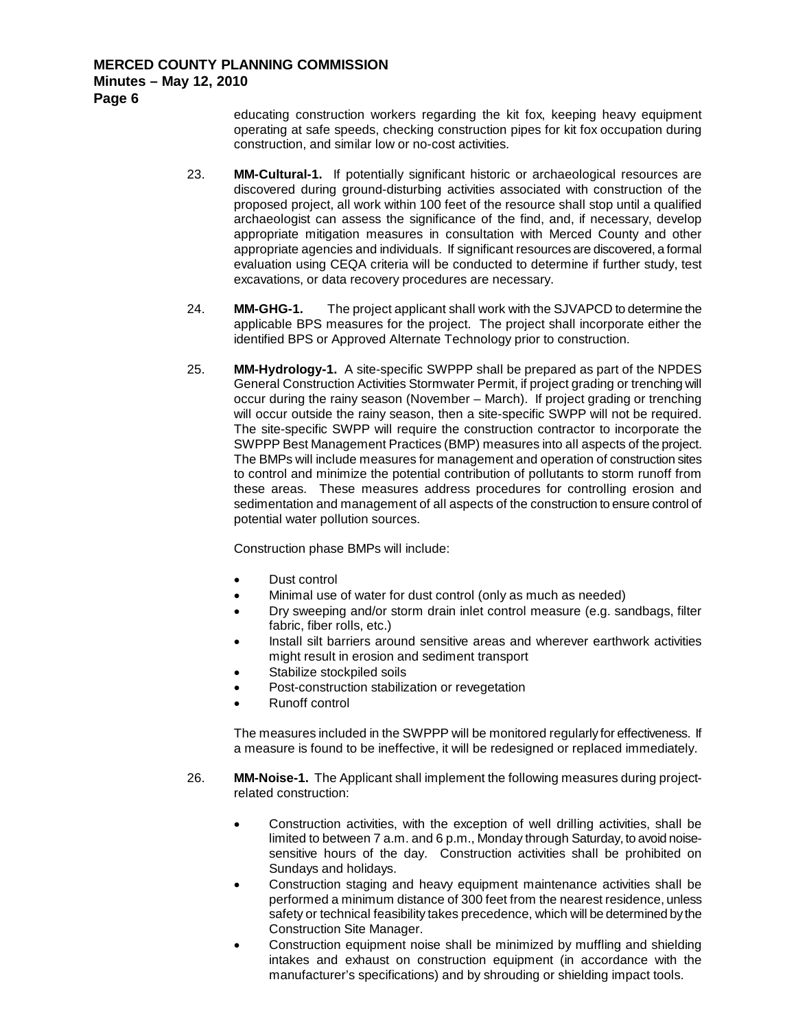**Page 6**

educating construction workers regarding the kit fox, keeping heavy equipment operating at safe speeds, checking construction pipes for kit fox occupation during construction, and similar low or no-cost activities.

- 23. **MM-Cultural-1.** If potentially significant historic or archaeological resources are discovered during ground-disturbing activities associated with construction of the proposed project, all work within 100 feet of the resource shall stop until a qualified archaeologist can assess the significance of the find, and, if necessary, develop appropriate mitigation measures in consultation with Merced County and other appropriate agencies and individuals. If significant resources are discovered, a formal evaluation using CEQA criteria will be conducted to determine if further study, test excavations, or data recovery procedures are necessary.
- 24. **MM-GHG-1.** The project applicant shall work with the SJVAPCD to determine the applicable BPS measures for the project. The project shall incorporate either the identified BPS or Approved Alternate Technology prior to construction.
- 25. **MM-Hydrology-1.** A site-specific SWPPP shall be prepared as part of the NPDES General Construction Activities Stormwater Permit, if project grading or trenching will occur during the rainy season (November – March). If project grading or trenching will occur outside the rainy season, then a site-specific SWPP will not be required. The site-specific SWPP will require the construction contractor to incorporate the SWPPP Best Management Practices (BMP) measures into all aspects of the project. The BMPs will include measures for management and operation of construction sites to control and minimize the potential contribution of pollutants to storm runoff from these areas. These measures address procedures for controlling erosion and sedimentation and management of all aspects of the construction to ensure control of potential water pollution sources.

Construction phase BMPs will include:

- Dust control
- Minimal use of water for dust control (only as much as needed)
- Dry sweeping and/or storm drain inlet control measure (e.g. sandbags, filter fabric, fiber rolls, etc.)
- Install silt barriers around sensitive areas and wherever earthwork activities might result in erosion and sediment transport
- Stabilize stockpiled soils
- Post-construction stabilization or revegetation
- Runoff control

The measures included in the SWPPP will be monitored regularly for effectiveness. If a measure is found to be ineffective, it will be redesigned or replaced immediately.

- 26. **MM-Noise-1.** The Applicant shall implement the following measures during projectrelated construction:
	- Construction activities, with the exception of well drilling activities, shall be limited to between 7 a.m. and 6 p.m., Monday through Saturday, to avoid noisesensitive hours of the day. Construction activities shall be prohibited on Sundays and holidays.
	- Construction staging and heavy equipment maintenance activities shall be performed a minimum distance of 300 feet from the nearest residence, unless safety or technical feasibility takes precedence, which will be determined by the Construction Site Manager.
	- Construction equipment noise shall be minimized by muffling and shielding intakes and exhaust on construction equipment (in accordance with the manufacturer's specifications) and by shrouding or shielding impact tools.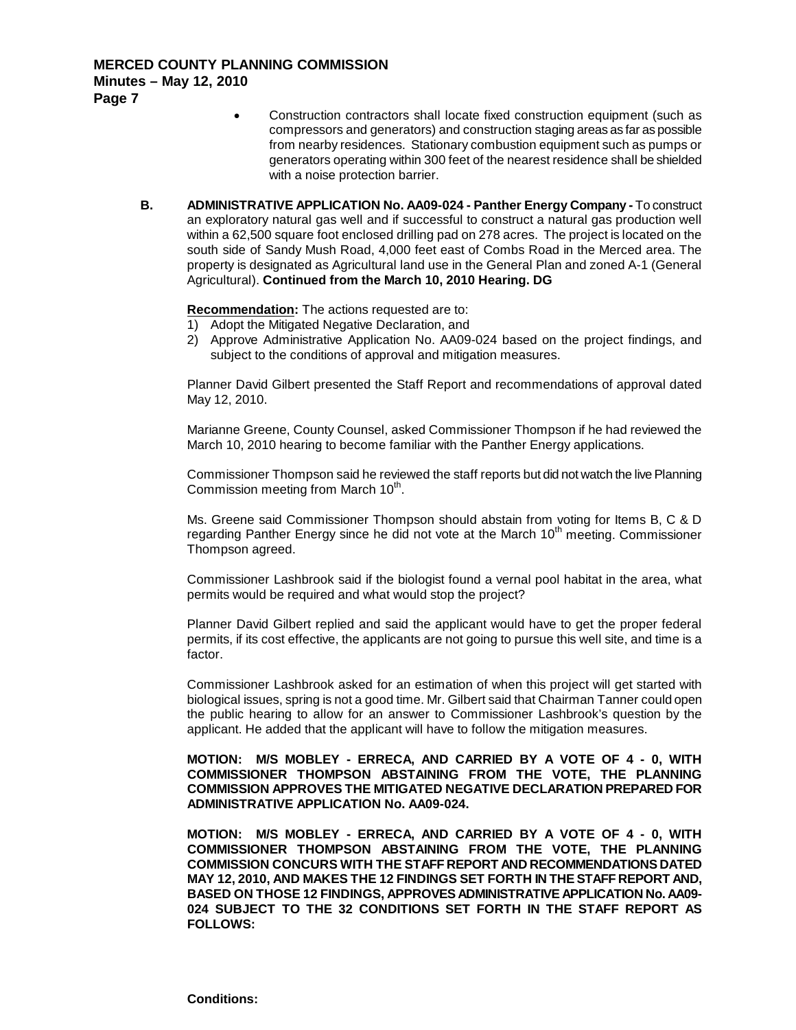- Construction contractors shall locate fixed construction equipment (such as compressors and generators) and construction staging areas as far as possible from nearby residences. Stationary combustion equipment such as pumps or generators operating within 300 feet of the nearest residence shall be shielded with a noise protection barrier.
- **B. ADMINISTRATIVE APPLICATION No. AA09-024 - Panther Energy Company -** To construct an exploratory natural gas well and if successful to construct a natural gas production well within a 62,500 square foot enclosed drilling pad on 278 acres. The project is located on the south side of Sandy Mush Road, 4,000 feet east of Combs Road in the Merced area. The property is designated as Agricultural land use in the General Plan and zoned A-1 (General Agricultural). **Continued from the March 10, 2010 Hearing. DG**

## **Recommendation :** The actions requested are to:

- 1) Adopt the Mitigated Negative Declaration, and
- 2) Approve Administrative Application No. AA09-024 based on the project findings, and subject to the conditions of approval and mitigation measures.

Planner David Gilbert presented the Staff Report and recommendations of approval dated May 12, 2010.

Marianne Greene, County Counsel, asked Commissioner Thompson if he had reviewed the March 10, 2010 hearing to become familiar with the Panther Energy applications.

Commissioner Thompson said he reviewed the staff reports but did not watch the live Planning Commission meeting from March  $10<sup>th</sup>$ .

Ms. Greene said Commissioner Thompson should abstain from voting for Items B, C & D regarding Panther Energy since he did not vote at the March 10<sup>th</sup> meeting. Commissioner Thompson agreed.

Commissioner Lashbrook said if the biologist found a vernal pool habitat in the area, what permits would be required and what would stop the project?

Planner David Gilbert replied and said the applicant would have to get the proper federal permits, if its cost effective, the applicants are not going to pursue this well site, and time is a factor.

Commissioner Lashbrook asked for an estimation of when this project will get started with biological issues, spring is not a good time. Mr. Gilbert said that Chairman Tanner could open the public hearing to allow for an answer to Commissioner Lashbrook's question by the applicant. He added that the applicant will have to follow the mitigation measures.

#### **MOTION: M/S MOBLEY - ERRECA, AND CARRIED BY A VOTE OF 4 - 0, WITH COMMISSIONER THOMPSON ABSTAINING FROM THE VOTE, THE PLANNING COMMISSION APPROVES THE MITIGATED NEGATIVE DECLARATION PREPARED FOR ADMINISTRATIVE APPLICATION No. AA09-024.**

**MOTION: M/S MOBLEY - ERRECA, AND CARRIED BY A VOTE OF 4 - 0, WITH COMMISSIONER THOMPSON ABSTAINING FROM THE VOTE, THE PLANNING COMMISSION CONCURS WITH THE STAFF REPORT AND RECOMMENDATIONS DATED MAY 12, 2010, AND MAKES THE 12 FINDINGS SET FORTH IN THE STAFF REPORT AND, BASED ON THOSE 12 FINDINGS, APPROVES ADMINISTRATIVE APPLICATION No. AA09- 024 SUBJECT TO THE 32 CONDITIONS SET FORTH IN THE STAFF REPORT AS FOLLOWS:**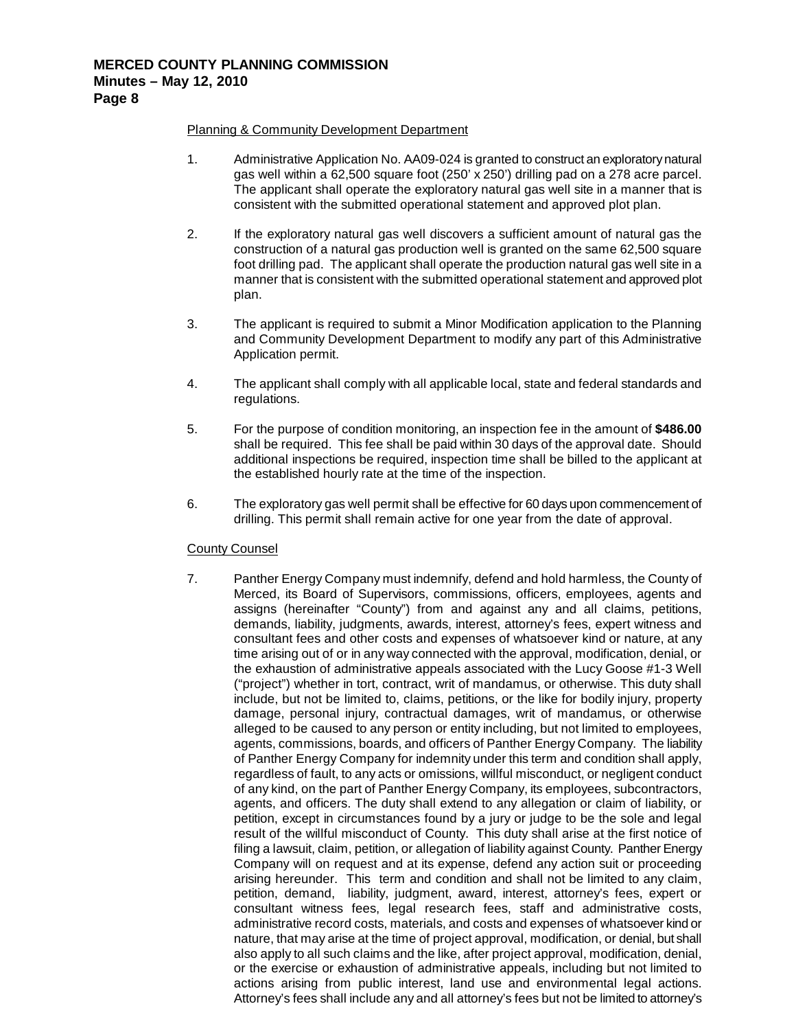## Planning & Community Development Department

- 1. Administrative Application No. AA09-024 is granted to construct an exploratory natural gas well within a 62,500 square foot (250' x 250') drilling pad on a 278 acre parcel. The applicant shall operate the exploratory natural gas well site in a manner that is consistent with the submitted operational statement and approved plot plan.
- 2. If the exploratory natural gas well discovers a sufficient amount of natural gas the construction of a natural gas production well is granted on the same 62,500 square foot drilling pad. The applicant shall operate the production natural gas well site in a manner that is consistent with the submitted operational statement and approved plot plan.
- 3. The applicant is required to submit a Minor Modification application to the Planning and Community Development Department to modify any part of this Administrative Application permit.
- 4. The applicant shall comply with all applicable local, state and federal standards and regulations.
- 5. For the purpose of condition monitoring, an inspection fee in the amount of **\$486.00** shall be required. This fee shall be paid within 30 days of the approval date. Should additional inspections be required, inspection time shall be billed to the applicant at the established hourly rate at the time of the inspection.
- 6. The exploratory gas well permit shall be effective for 60 days upon commencement of drilling. This permit shall remain active for one year from the date of approval.

## County Counsel

7. Panther Energy Company must indemnify, defend and hold harmless, the County of Merced, its Board of Supervisors, commissions, officers, employees, agents and assigns (hereinafter "County") from and against any and all claims, petitions, demands, liability, judgments, awards, interest, attorney's fees, expert witness and consultant fees and other costs and expenses of whatsoever kind or nature, at any time arising out of or in any way connected with the approval, modification, denial, or the exhaustion of administrative appeals associated with the Lucy Goose #1-3 Well ("project") whether in tort, contract, writ of mandamus, or otherwise. This duty shall include, but not be limited to, claims, petitions, or the like for bodily injury, property damage, personal injury, contractual damages, writ of mandamus, or otherwise alleged to be caused to any person or entity including, but not limited to employees, agents, commissions, boards, and officers of Panther Energy Company. The liability of Panther Energy Company for indemnity under this term and condition shall apply, regardless of fault, to any acts or omissions, willful misconduct, or negligent conduct of any kind, on the part of Panther Energy Company, its employees, subcontractors, agents, and officers. The duty shall extend to any allegation or claim of liability, or petition, except in circumstances found by a jury or judge to be the sole and legal result of the willful misconduct of County. This duty shall arise at the first notice of filing a lawsuit, claim, petition, or allegation of liability against County. Panther Energy Company will on request and at its expense, defend any action suit or proceeding arising hereunder. This term and condition and shall not be limited to any claim, petition, demand, liability, judgment, award, interest, attorney's fees, expert or consultant witness fees, legal research fees, staff and administrative costs, administrative record costs, materials, and costs and expenses of whatsoever kind or nature, that may arise at the time of project approval, modification, or denial, but shall also apply to all such claims and the like, after project approval, modification, denial, or the exercise or exhaustion of administrative appeals, including but not limited to actions arising from public interest, land use and environmental legal actions. Attorney's fees shall include any and all attorney's fees but not be limited to attorney's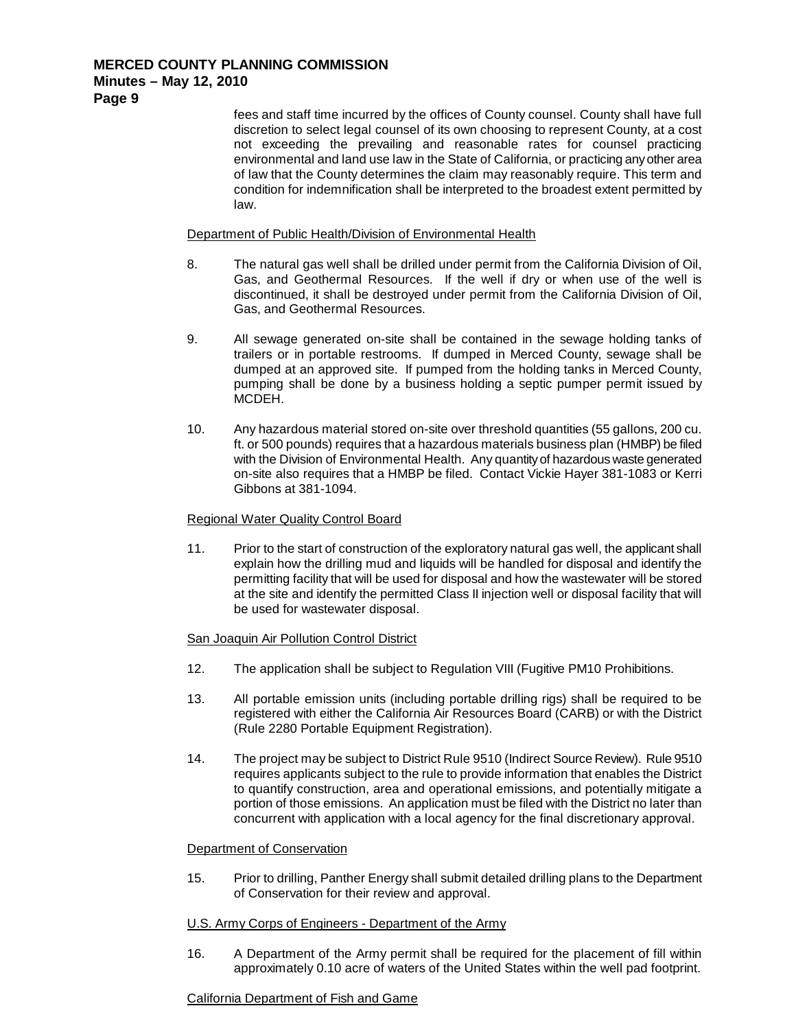> fees and staff time incurred by the offices of County counsel. County shall have full discretion to select legal counsel of its own choosing to represent County, at a cost not exceeding the prevailing and reasonable rates for counsel practicing environmental and land use law in the State of California, or practicing any other area of law that the County determines the claim may reasonably require. This term and condition for indemnification shall be interpreted to the broadest extent permitted by law.

#### Department of Public Health/Division of Environmental Health

- 8. The natural gas well shall be drilled under permit from the California Division of Oil, Gas, and Geothermal Resources. If the well if dry or when use of the well is discontinued, it shall be destroyed under permit from the California Division of Oil, Gas, and Geothermal Resources.
- 9. All sewage generated on-site shall be contained in the sewage holding tanks of trailers or in portable restrooms. If dumped in Merced County, sewage shall be dumped at an approved site. If pumped from the holding tanks in Merced County, pumping shall be done by a business holding a septic pumper permit issued by MCDEH.
- 10. Any hazardous material stored on-site over threshold quantities (55 gallons, 200 cu. ft. or 500 pounds) requires that a hazardous materials business plan (HMBP) be filed with the Division of Environmental Health. Any quantity of hazardous waste generated on-site also requires that a HMBP be filed. Contact Vickie Hayer 381-1083 or Kerri Gibbons at 381-1094.

#### Regional Water Quality Control Board

11. Prior to the start of construction of the exploratory natural gas well, the applicant shall explain how the drilling mud and liquids will be handled for disposal and identify the permitting facility that will be used for disposal and how the wastewater will be stored at the site and identify the permitted Class II injection well or disposal facility that will be used for wastewater disposal.

## San Joaquin Air Pollution Control District

- 12. The application shall be subject to Regulation VIII (Fugitive PM10 Prohibitions.
- 13. All portable emission units (including portable drilling rigs) shall be required to be registered with either the California Air Resources Board (CARB) or with the District (Rule 2280 Portable Equipment Registration).
- 14. The project may be subject to District Rule 9510 (Indirect Source Review). Rule 9510 requires applicants subject to the rule to provide information that enables the District to quantify construction, area and operational emissions, and potentially mitigate a portion of those emissions. An application must be filed with the District no later than concurrent with application with a local agency for the final discretionary approval.

## Department of Conservation

15. Prior to drilling, Panther Energy shall submit detailed drilling plans to the Department of Conservation for their review and approval.

## U.S. Army Corps of Engineers - Department of the Army

16. A Department of the Army permit shall be required for the placement of fill within approximately 0.10 acre of waters of the United States within the well pad footprint.

## California Department of Fish and Game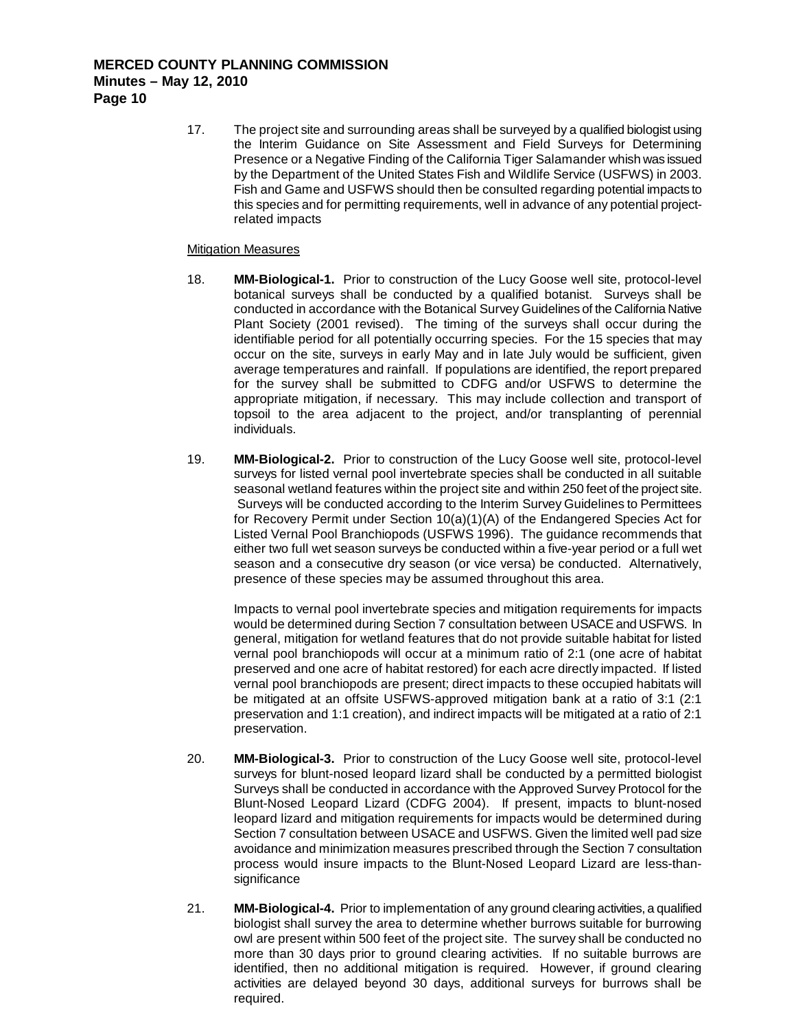17. The project site and surrounding areas shall be surveyed by a qualified biologist using the Interim Guidance on Site Assessment and Field Surveys for Determining Presence or a Negative Finding of the California Tiger Salamander whish was issued by the Department of the United States Fish and Wildlife Service (USFWS) in 2003. Fish and Game and USFWS should then be consulted regarding potential impacts to this species and for permitting requirements, well in advance of any potential projectrelated impacts

#### **Mitigation Measures**

- 18. **MM-Biological-1.** Prior to construction of the Lucy Goose well site, protocol-level botanical surveys shall be conducted by a qualified botanist. Surveys shall be conducted in accordance with the Botanical Survey Guidelines of the California Native Plant Society (2001 revised). The timing of the surveys shall occur during the identifiable period for all potentially occurring species. For the 15 species that may occur on the site, surveys in early May and in late July would be sufficient, given average temperatures and rainfall. If populations are identified, the report prepared for the survey shall be submitted to CDFG and/or USFWS to determine the appropriate mitigation, if necessary. This may include collection and transport of topsoil to the area adjacent to the project, and/or transplanting of perennial individuals.
- 19. **MM-Biological-2.** Prior to construction of the Lucy Goose well site, protocol-level surveys for listed vernal pool invertebrate species shall be conducted in all suitable seasonal wetland features within the project site and within 250 feet of the project site. Surveys will be conducted according to the Interim Survey Guidelines to Permittees for Recovery Permit under Section 10(a)(1)(A) of the Endangered Species Act for Listed Vernal Pool Branchiopods (USFWS 1996). The guidance recommends that either two full wet season surveys be conducted within a five-year period or a full wet season and a consecutive dry season (or vice versa) be conducted. Alternatively, presence of these species may be assumed throughout this area.

Impacts to vernal pool invertebrate species and mitigation requirements for impacts would be determined during Section 7 consultation between USACE and USFWS. In general, mitigation for wetland features that do not provide suitable habitat for listed vernal pool branchiopods will occur at a minimum ratio of 2:1 (one acre of habitat preserved and one acre of habitat restored) for each acre directly impacted. If listed vernal pool branchiopods are present; direct impacts to these occupied habitats will be mitigated at an offsite USFWS-approved mitigation bank at a ratio of 3:1 (2:1 preservation and 1:1 creation), and indirect impacts will be mitigated at a ratio of 2:1 preservation.

- 20. **MM-Biological-3.** Prior to construction of the Lucy Goose well site, protocol-level surveys for blunt-nosed leopard lizard shall be conducted by a permitted biologist Surveys shall be conducted in accordance with the Approved Survey Protocol for the Blunt-Nosed Leopard Lizard (CDFG 2004). If present, impacts to blunt-nosed leopard lizard and mitigation requirements for impacts would be determined during Section 7 consultation between USACE and USFWS. Given the limited well pad size avoidance and minimization measures prescribed through the Section 7 consultation process would insure impacts to the Blunt-Nosed Leopard Lizard are less-thansignificance
- 21. **MM-Biological-4.** Prior to implementation of any ground clearing activities, a qualified biologist shall survey the area to determine whether burrows suitable for burrowing owl are present within 500 feet of the project site. The survey shall be conducted no more than 30 days prior to ground clearing activities. If no suitable burrows are identified, then no additional mitigation is required. However, if ground clearing activities are delayed beyond 30 days, additional surveys for burrows shall be required.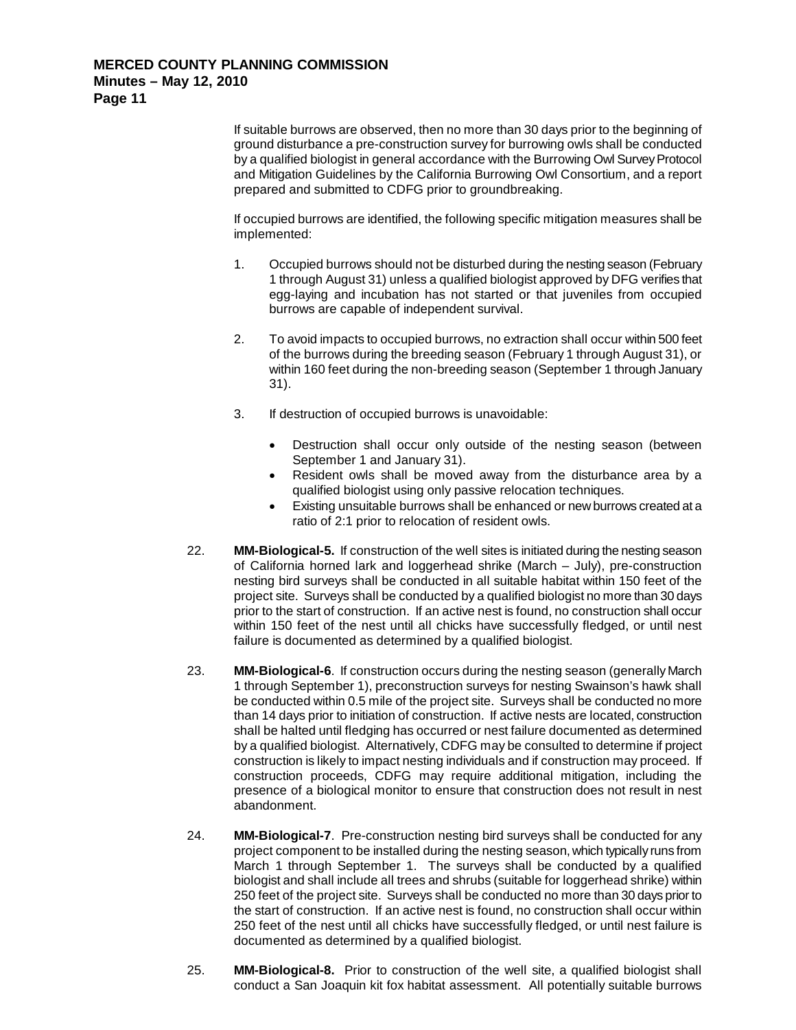If suitable burrows are observed, then no more than 30 days prior to the beginning of ground disturbance a pre-construction survey for burrowing owls shall be conducted by a qualified biologist in general accordance with the Burrowing Owl Survey Protocol and Mitigation Guidelines by the California Burrowing Owl Consortium, and a report prepared and submitted to CDFG prior to groundbreaking.

If occupied burrows are identified, the following specific mitigation measures shall be implemented:

- 1. Occupied burrows should not be disturbed during the nesting season (February 1 through August 31) unless a qualified biologist approved by DFG verifies that egg-laying and incubation has not started or that juveniles from occupied burrows are capable of independent survival.
- 2. To avoid impacts to occupied burrows, no extraction shall occur within 500 feet of the burrows during the breeding season (February 1 through August 31), or within 160 feet during the non-breeding season (September 1 through January 31).
- 3. If destruction of occupied burrows is unavoidable:
	- Destruction shall occur only outside of the nesting season (between September 1 and January 31).
	- Resident owls shall be moved away from the disturbance area by a qualified biologist using only passive relocation techniques.
	- Existing unsuitable burrows shall be enhanced or new burrows created at a ratio of 2:1 prior to relocation of resident owls.
- 22. **MM-Biological-5.** If construction of the well sites is initiated during the nesting season of California horned lark and loggerhead shrike (March – July), pre-construction nesting bird surveys shall be conducted in all suitable habitat within 150 feet of the project site. Surveys shall be conducted by a qualified biologist no more than 30 days prior to the start of construction. If an active nest is found, no construction shall occur within 150 feet of the nest until all chicks have successfully fledged, or until nest failure is documented as determined by a qualified biologist.
- 23. **MM-Biological-6**. If construction occurs during the nesting season (generally March 1 through September 1), preconstruction surveys for nesting Swainson's hawk shall be conducted within 0.5 mile of the project site. Surveys shall be conducted no more than 14 days prior to initiation of construction. If active nests are located, construction shall be halted until fledging has occurred or nest failure documented as determined by a qualified biologist. Alternatively, CDFG may be consulted to determine if project construction is likely to impact nesting individuals and if construction may proceed. If construction proceeds, CDFG may require additional mitigation, including the presence of a biological monitor to ensure that construction does not result in nest abandonment.
- 24. **MM-Biological-7**. Pre-construction nesting bird surveys shall be conducted for any project component to be installed during the nesting season, which typically runs from March 1 through September 1. The surveys shall be conducted by a qualified biologist and shall include all trees and shrubs (suitable for loggerhead shrike) within 250 feet of the project site. Surveys shall be conducted no more than 30 days prior to the start of construction. If an active nest is found, no construction shall occur within 250 feet of the nest until all chicks have successfully fledged, or until nest failure is documented as determined by a qualified biologist.
- 25. **MM-Biological-8.** Prior to construction of the well site, a qualified biologist shall conduct a San Joaquin kit fox habitat assessment. All potentially suitable burrows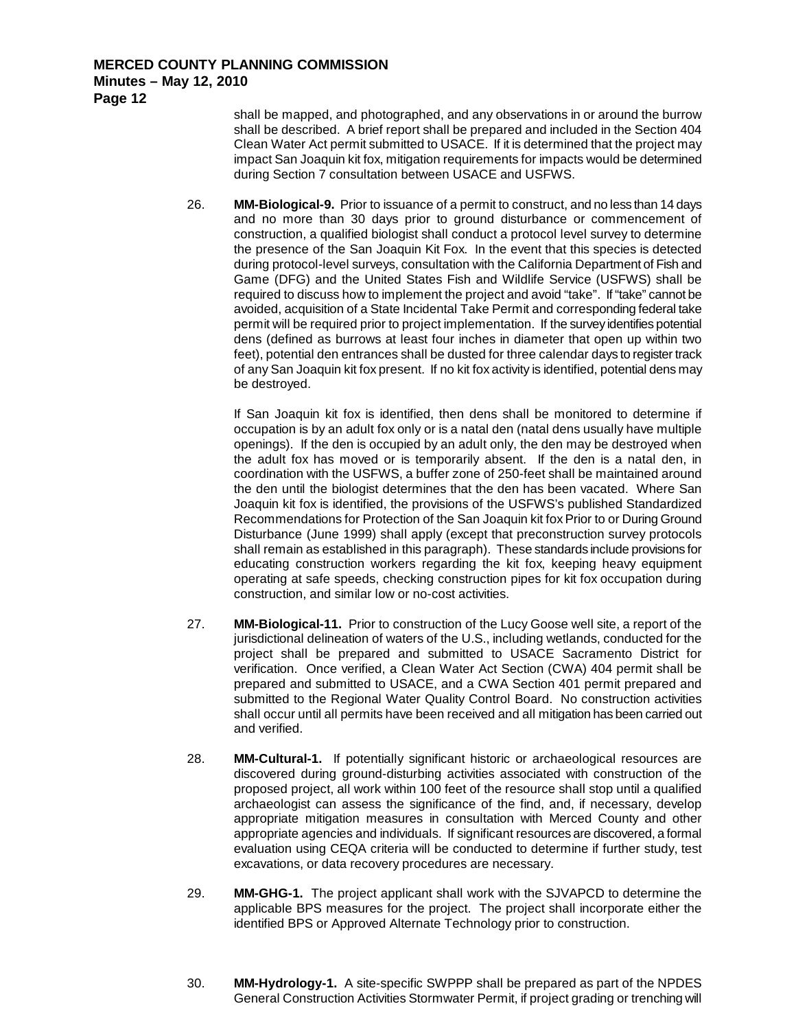shall be mapped, and photographed, and any observations in or around the burrow shall be described. A brief report shall be prepared and included in the Section 404 Clean Water Act permit submitted to USACE. If it is determined that the project may impact San Joaquin kit fox, mitigation requirements for impacts would be determined during Section 7 consultation between USACE and USFWS.

26. **MM-Biological-9.** Prior to issuance of a permit to construct, and no less than 14 days and no more than 30 days prior to ground disturbance or commencement of construction, a qualified biologist shall conduct a protocol level survey to determine the presence of the San Joaquin Kit Fox. In the event that this species is detected during protocol-level surveys, consultation with the California Department of Fish and Game (DFG) and the United States Fish and Wildlife Service (USFWS) shall be required to discuss how to implement the project and avoid "take". If "take" cannot be avoided, acquisition of a State Incidental Take Permit and corresponding federal take permit will be required prior to project implementation. If the survey identifies potential dens (defined as burrows at least four inches in diameter that open up within two feet), potential den entrances shall be dusted for three calendar days to register track of any San Joaquin kit fox present. If no kit fox activity is identified, potential dens may be destroyed.

If San Joaquin kit fox is identified, then dens shall be monitored to determine if occupation is by an adult fox only or is a natal den (natal dens usually have multiple openings). If the den is occupied by an adult only, the den may be destroyed when the adult fox has moved or is temporarily absent. If the den is a natal den, in coordination with the USFWS, a buffer zone of 250-feet shall be maintained around the den until the biologist determines that the den has been vacated. Where San Joaquin kit fox is identified, the provisions of the USFWS's published Standardized Recommendations for Protection of the San Joaquin kit fox Prior to or During Ground Disturbance (June 1999) shall apply (except that preconstruction survey protocols shall remain as established in this paragraph). These standards include provisions for educating construction workers regarding the kit fox, keeping heavy equipment operating at safe speeds, checking construction pipes for kit fox occupation during construction, and similar low or no-cost activities.

- 27. **MM-Biological-11.** Prior to construction of the Lucy Goose well site, a report of the jurisdictional delineation of waters of the U.S., including wetlands, conducted for the project shall be prepared and submitted to USACE Sacramento District for verification. Once verified, a Clean Water Act Section (CWA) 404 permit shall be prepared and submitted to USACE, and a CWA Section 401 permit prepared and submitted to the Regional Water Quality Control Board. No construction activities shall occur until all permits have been received and all mitigation has been carried out and verified.
- 28. **MM-Cultural-1.** If potentially significant historic or archaeological resources are discovered during ground-disturbing activities associated with construction of the proposed project, all work within 100 feet of the resource shall stop until a qualified archaeologist can assess the significance of the find, and, if necessary, develop appropriate mitigation measures in consultation with Merced County and other appropriate agencies and individuals. If significant resources are discovered, a formal evaluation using CEQA criteria will be conducted to determine if further study, test excavations, or data recovery procedures are necessary.
- 29. **MM-GHG-1.** The project applicant shall work with the SJVAPCD to determine the applicable BPS measures for the project. The project shall incorporate either the identified BPS or Approved Alternate Technology prior to construction.
- 30. **MM-Hydrology-1.** A site-specific SWPPP shall be prepared as part of the NPDES General Construction Activities Stormwater Permit, if project grading or trenching will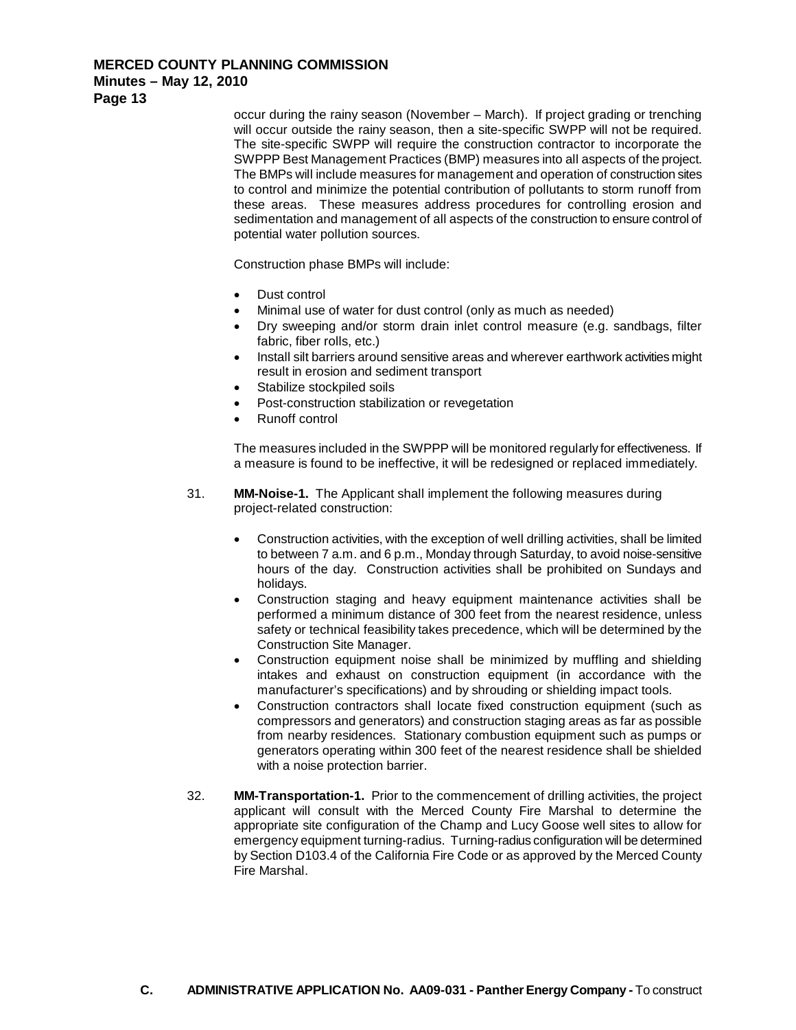**Minutes – May 12, 2010**

**Page 13**

occur during the rainy season (November – March). If project grading or trenching will occur outside the rainy season, then a site-specific SWPP will not be required. The site-specific SWPP will require the construction contractor to incorporate the SWPPP Best Management Practices (BMP) measures into all aspects of the project. The BMPs will include measures for management and operation of construction sites to control and minimize the potential contribution of pollutants to storm runoff from these areas. These measures address procedures for controlling erosion and sedimentation and management of all aspects of the construction to ensure control of potential water pollution sources.

Construction phase BMPs will include:

- Dust control
- Minimal use of water for dust control (only as much as needed)
- Dry sweeping and/or storm drain inlet control measure (e.g. sandbags, filter fabric, fiber rolls, etc.)
- Install silt barriers around sensitive areas and wherever earthwork activities might result in erosion and sediment transport
- Stabilize stockpiled soils
- Post-construction stabilization or revegetation
- Runoff control

The measures included in the SWPPP will be monitored regularly for effectiveness. If a measure is found to be ineffective, it will be redesigned or replaced immediately.

- 31. **MM-Noise-1.** The Applicant shall implement the following measures during project-related construction:
	- Construction activities, with the exception of well drilling activities, shall be limited to between 7 a.m. and 6 p.m., Monday through Saturday, to avoid noise-sensitive hours of the day. Construction activities shall be prohibited on Sundays and holidays.
	- Construction staging and heavy equipment maintenance activities shall be performed a minimum distance of 300 feet from the nearest residence, unless safety or technical feasibility takes precedence, which will be determined by the Construction Site Manager.
	- Construction equipment noise shall be minimized by muffling and shielding intakes and exhaust on construction equipment (in accordance with the manufacturer's specifications) and by shrouding or shielding impact tools.
	- Construction contractors shall locate fixed construction equipment (such as compressors and generators) and construction staging areas as far as possible from nearby residences. Stationary combustion equipment such as pumps or generators operating within 300 feet of the nearest residence shall be shielded with a noise protection barrier.
- 32. **MM-Transportation-1.** Prior to the commencement of drilling activities, the project applicant will consult with the Merced County Fire Marshal to determine the appropriate site configuration of the Champ and Lucy Goose well sites to allow for emergency equipment turning-radius. Turning-radius configuration will be determined by Section D103.4 of the California Fire Code or as approved by the Merced County Fire Marshal.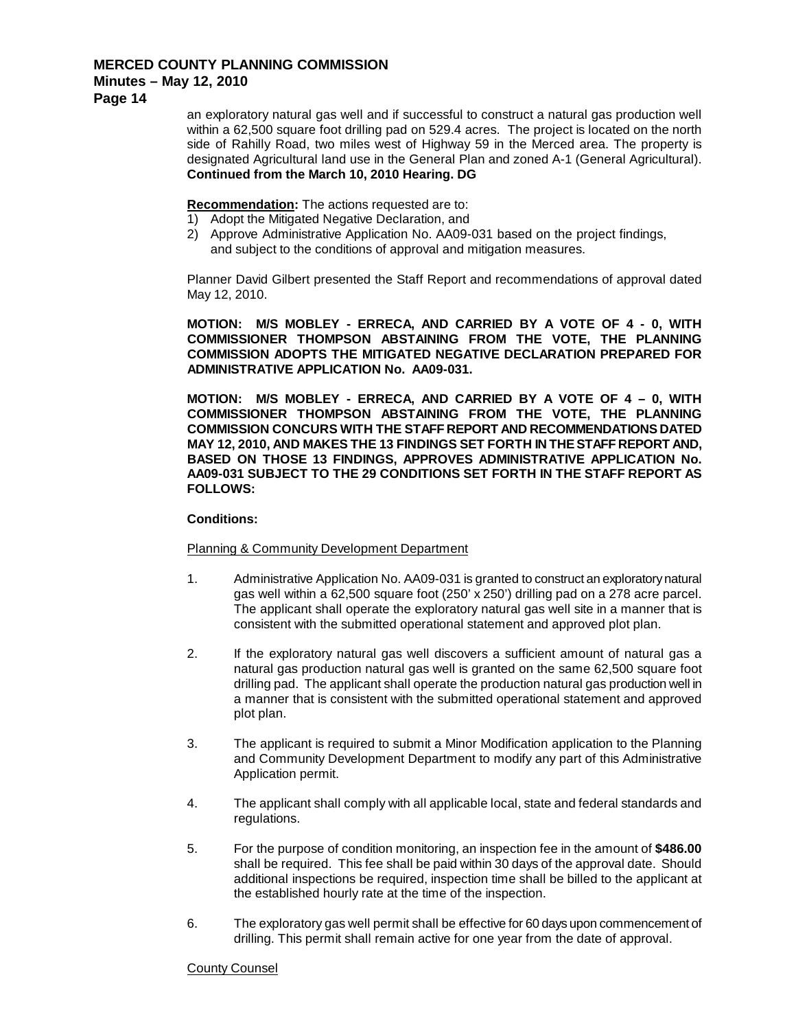## **Minutes – May 12, 2010**

**Page 14**

an exploratory natural gas well and if successful to construct a natural gas production well within a 62,500 square foot drilling pad on 529.4 acres. The project is located on the north side of Rahilly Road, two miles west of Highway 59 in the Merced area. The property is designated Agricultural land use in the General Plan and zoned A-1 (General Agricultural). **Continued from the March 10, 2010 Hearing. DG**

**Recommendation :** The actions requested are to:

- 1) Adopt the Mitigated Negative Declaration, and
- 2) Approve Administrative Application No. AA09-031 based on the project findings, and subject to the conditions of approval and mitigation measures.

Planner David Gilbert presented the Staff Report and recommendations of approval dated May 12, 2010.

**MOTION: M/S MOBLEY - ERRECA, AND CARRIED BY A VOTE OF 4 - 0, WITH COMMISSIONER THOMPSON ABSTAINING FROM THE VOTE, THE PLANNING COMMISSION ADOPTS THE MITIGATED NEGATIVE DECLARATION PREPARED FOR ADMINISTRATIVE APPLICATION No. AA09-031.**

**MOTION: M/S MOBLEY - ERRECA, AND CARRIED BY A VOTE OF 4 – 0, WITH COMMISSIONER THOMPSON ABSTAINING FROM THE VOTE, THE PLANNING COMMISSION CONCURS WITH THE STAFF REPORT AND RECOMMENDATIONS DATED MAY 12, 2010, AND MAKES THE 13 FINDINGS SET FORTH IN THE STAFF REPORT AND, BASED ON THOSE 13 FINDINGS, APPROVES ADMINISTRATIVE APPLICATION No. AA09-031 SUBJECT TO THE 29 CONDITIONS SET FORTH IN THE STAFF REPORT AS FOLLOWS:**

## **Conditions:**

#### Planning & Community Development Department

- 1. Administrative Application No. AA09-031 is granted to construct an exploratory natural gas well within a 62,500 square foot (250' x 250') drilling pad on a 278 acre parcel. The applicant shall operate the exploratory natural gas well site in a manner that is consistent with the submitted operational statement and approved plot plan.
- 2. If the exploratory natural gas well discovers a sufficient amount of natural gas a natural gas production natural gas well is granted on the same 62,500 square foot drilling pad. The applicant shall operate the production natural gas production well in a manner that is consistent with the submitted operational statement and approved plot plan.
- 3. The applicant is required to submit a Minor Modification application to the Planning and Community Development Department to modify any part of this Administrative Application permit.
- 4. The applicant shall comply with all applicable local, state and federal standards and regulations.
- 5. For the purpose of condition monitoring, an inspection fee in the amount of **\$486.00** shall be required. This fee shall be paid within 30 days of the approval date. Should additional inspections be required, inspection time shall be billed to the applicant at the established hourly rate at the time of the inspection.
- 6. The exploratory gas well permit shall be effective for 60 days upon commencement of drilling. This permit shall remain active for one year from the date of approval.

#### County Counsel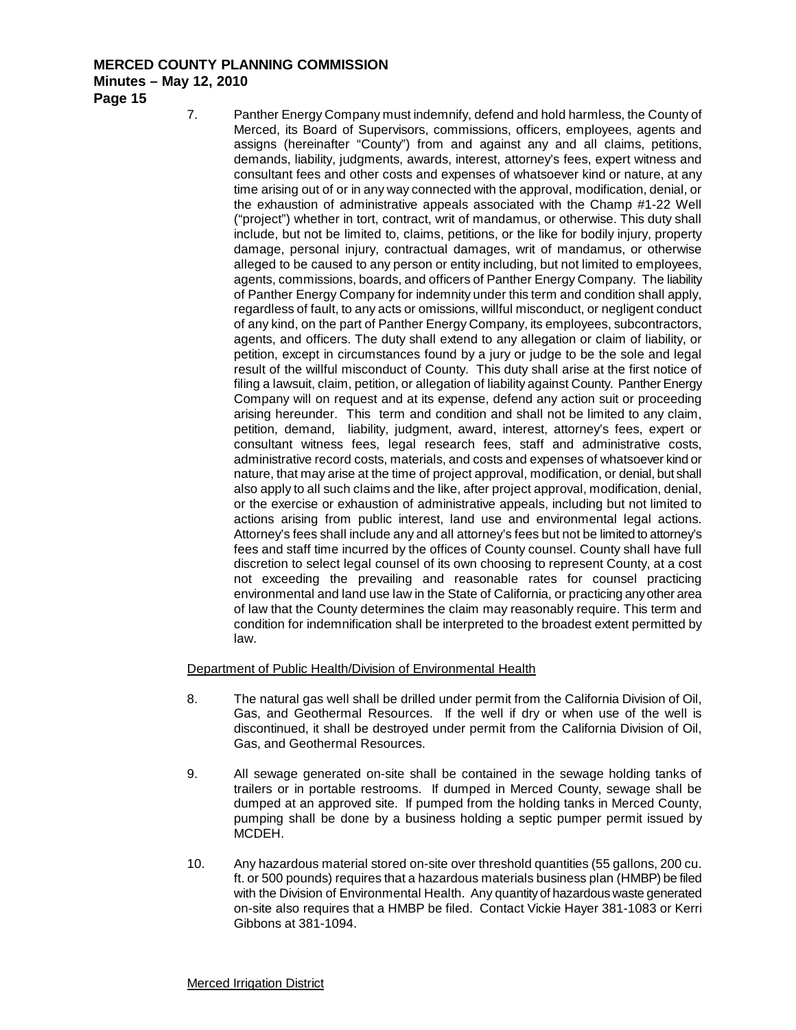**Page 15**

7. Panther Energy Company must indemnify, defend and hold harmless, the County of Merced, its Board of Supervisors, commissions, officers, employees, agents and assigns (hereinafter "County") from and against any and all claims, petitions, demands, liability, judgments, awards, interest, attorney's fees, expert witness and consultant fees and other costs and expenses of whatsoever kind or nature, at any time arising out of or in any way connected with the approval, modification, denial, or the exhaustion of administrative appeals associated with the Champ #1-22 Well ("project") whether in tort, contract, writ of mandamus, or otherwise. This duty shall include, but not be limited to, claims, petitions, or the like for bodily injury, property damage, personal injury, contractual damages, writ of mandamus, or otherwise alleged to be caused to any person or entity including, but not limited to employees, agents, commissions, boards, and officers of Panther Energy Company. The liability of Panther Energy Company for indemnity under this term and condition shall apply, regardless of fault, to any acts or omissions, willful misconduct, or negligent conduct of any kind, on the part of Panther Energy Company, its employees, subcontractors, agents, and officers. The duty shall extend to any allegation or claim of liability, or petition, except in circumstances found by a jury or judge to be the sole and legal result of the willful misconduct of County. This duty shall arise at the first notice of filing a lawsuit, claim, petition, or allegation of liability against County. Panther Energy Company will on request and at its expense, defend any action suit or proceeding arising hereunder. This term and condition and shall not be limited to any claim, petition, demand, liability, judgment, award, interest, attorney's fees, expert or consultant witness fees, legal research fees, staff and administrative costs, administrative record costs, materials, and costs and expenses of whatsoever kind or nature, that may arise at the time of project approval, modification, or denial, but shall also apply to all such claims and the like, after project approval, modification, denial, or the exercise or exhaustion of administrative appeals, including but not limited to actions arising from public interest, land use and environmental legal actions. Attorney's fees shall include any and all attorney's fees but not be limited to attorney's fees and staff time incurred by the offices of County counsel. County shall have full discretion to select legal counsel of its own choosing to represent County, at a cost not exceeding the prevailing and reasonable rates for counsel practicing environmental and land use law in the State of California, or practicing any other area of law that the County determines the claim may reasonably require. This term and condition for indemnification shall be interpreted to the broadest extent permitted by law.

Department of Public Health/Division of Environmental Health

- 8. The natural gas well shall be drilled under permit from the California Division of Oil, Gas, and Geothermal Resources. If the well if dry or when use of the well is discontinued, it shall be destroyed under permit from the California Division of Oil, Gas, and Geothermal Resources.
- 9. All sewage generated on-site shall be contained in the sewage holding tanks of trailers or in portable restrooms. If dumped in Merced County, sewage shall be dumped at an approved site. If pumped from the holding tanks in Merced County, pumping shall be done by a business holding a septic pumper permit issued by MCDEH.
- 10. Any hazardous material stored on-site over threshold quantities (55 gallons, 200 cu. ft. or 500 pounds) requires that a hazardous materials business plan (HMBP) be filed with the Division of Environmental Health. Any quantity of hazardous waste generated on-site also requires that a HMBP be filed. Contact Vickie Hayer 381-1083 or Kerri Gibbons at 381-1094.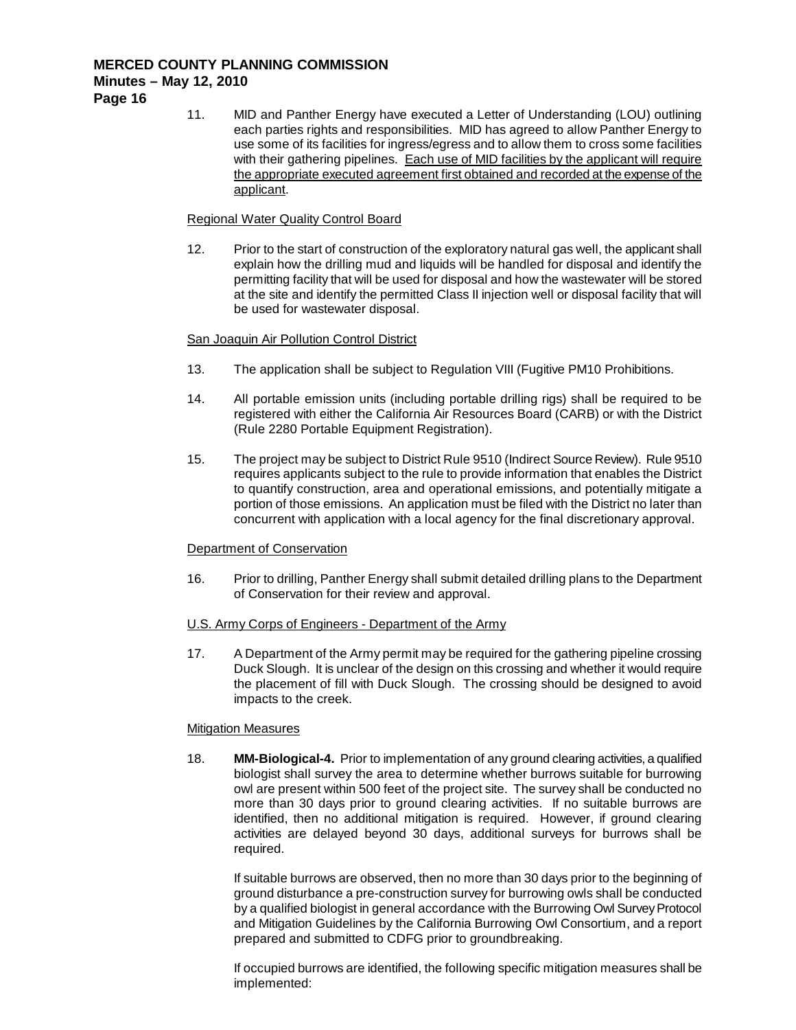11. MID and Panther Energy have executed a Letter of Understanding (LOU) outlining each parties rights and responsibilities. MID has agreed to allow Panther Energy to use some of its facilities for ingress/egress and to allow them to cross some facilities with their gathering pipelines. Each use of MID facilities by the applicant will require the appropriate executed agreement first obtained and recorded at the expense of the applicant.

## Regional Water Quality Control Board

12. Prior to the start of construction of the exploratory natural gas well, the applicant shall explain how the drilling mud and liquids will be handled for disposal and identify the permitting facility that will be used for disposal and how the wastewater will be stored at the site and identify the permitted Class II injection well or disposal facility that will be used for wastewater disposal.

## San Joaquin Air Pollution Control District

- 13. The application shall be subject to Regulation VIII (Fugitive PM10 Prohibitions.
- 14. All portable emission units (including portable drilling rigs) shall be required to be registered with either the California Air Resources Board (CARB) or with the District (Rule 2280 Portable Equipment Registration).
- 15. The project may be subject to District Rule 9510 (Indirect Source Review). Rule 9510 requires applicants subject to the rule to provide information that enables the District to quantify construction, area and operational emissions, and potentially mitigate a portion of those emissions. An application must be filed with the District no later than concurrent with application with a local agency for the final discretionary approval.

## Department of Conservation

16. Prior to drilling, Panther Energy shall submit detailed drilling plans to the Department of Conservation for their review and approval.

## U.S. Army Corps of Engineers - Department of the Army

17. A Department of the Army permit may be required for the gathering pipeline crossing Duck Slough. It is unclear of the design on this crossing and whether it would require the placement of fill with Duck Slough. The crossing should be designed to avoid impacts to the creek.

## **Mitigation Measures**

18. **MM-Biological-4.** Prior to implementation of any ground clearing activities, a qualified biologist shall survey the area to determine whether burrows suitable for burrowing owl are present within 500 feet of the project site. The survey shall be conducted no more than 30 days prior to ground clearing activities. If no suitable burrows are identified, then no additional mitigation is required. However, if ground clearing activities are delayed beyond 30 days, additional surveys for burrows shall be required.

If suitable burrows are observed, then no more than 30 days prior to the beginning of ground disturbance a pre-construction survey for burrowing owls shall be conducted by a qualified biologist in general accordance with the Burrowing Owl Survey Protocol and Mitigation Guidelines by the California Burrowing Owl Consortium, and a report prepared and submitted to CDFG prior to groundbreaking.

If occupied burrows are identified, the following specific mitigation measures shall be implemented: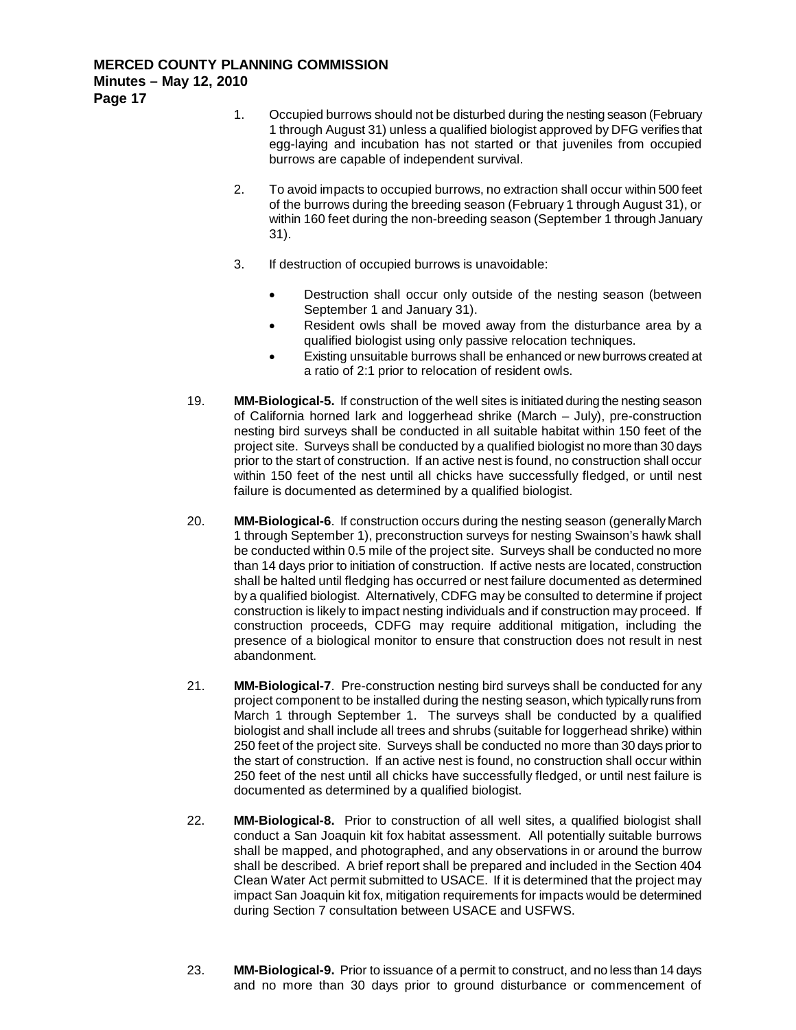- 1. Occupied burrows should not be disturbed during the nesting season (February 1 through August 31) unless a qualified biologist approved by DFG verifies that egg-laying and incubation has not started or that juveniles from occupied burrows are capable of independent survival.
- 2. To avoid impacts to occupied burrows, no extraction shall occur within 500 feet of the burrows during the breeding season (February 1 through August 31), or within 160 feet during the non-breeding season (September 1 through January 31).
- 3. If destruction of occupied burrows is unavoidable:
	- Destruction shall occur only outside of the nesting season (between September 1 and January 31).
	- Resident owls shall be moved away from the disturbance area by a qualified biologist using only passive relocation techniques.
	- Existing unsuitable burrows shall be enhanced or new burrows created at a ratio of 2:1 prior to relocation of resident owls.
- 19. **MM-Biological-5.** If construction of the well sites is initiated during the nesting season of California horned lark and loggerhead shrike (March – July), pre-construction nesting bird surveys shall be conducted in all suitable habitat within 150 feet of the project site. Surveys shall be conducted by a qualified biologist no more than 30 days prior to the start of construction. If an active nest is found, no construction shall occur within 150 feet of the nest until all chicks have successfully fledged, or until nest failure is documented as determined by a qualified biologist.
- 20. **MM-Biological-6**. If construction occurs during the nesting season (generally March 1 through September 1), preconstruction surveys for nesting Swainson's hawk shall be conducted within 0.5 mile of the project site. Surveys shall be conducted no more than 14 days prior to initiation of construction. If active nests are located, construction shall be halted until fledging has occurred or nest failure documented as determined by a qualified biologist. Alternatively, CDFG may be consulted to determine if project construction is likely to impact nesting individuals and if construction may proceed. If construction proceeds, CDFG may require additional mitigation, including the presence of a biological monitor to ensure that construction does not result in nest abandonment.
- 21. **MM-Biological-7**. Pre-construction nesting bird surveys shall be conducted for any project component to be installed during the nesting season, which typically runs from March 1 through September 1. The surveys shall be conducted by a qualified biologist and shall include all trees and shrubs (suitable for loggerhead shrike) within 250 feet of the project site. Surveys shall be conducted no more than 30 days prior to the start of construction. If an active nest is found, no construction shall occur within 250 feet of the nest until all chicks have successfully fledged, or until nest failure is documented as determined by a qualified biologist.
- 22. **MM-Biological-8.** Prior to construction of all well sites, a qualified biologist shall conduct a San Joaquin kit fox habitat assessment. All potentially suitable burrows shall be mapped, and photographed, and any observations in or around the burrow shall be described. A brief report shall be prepared and included in the Section 404 Clean Water Act permit submitted to USACE. If it is determined that the project may impact San Joaquin kit fox, mitigation requirements for impacts would be determined during Section 7 consultation between USACE and USFWS.
- 23. **MM-Biological-9.** Prior to issuance of a permit to construct, and no less than 14 days and no more than 30 days prior to ground disturbance or commencement of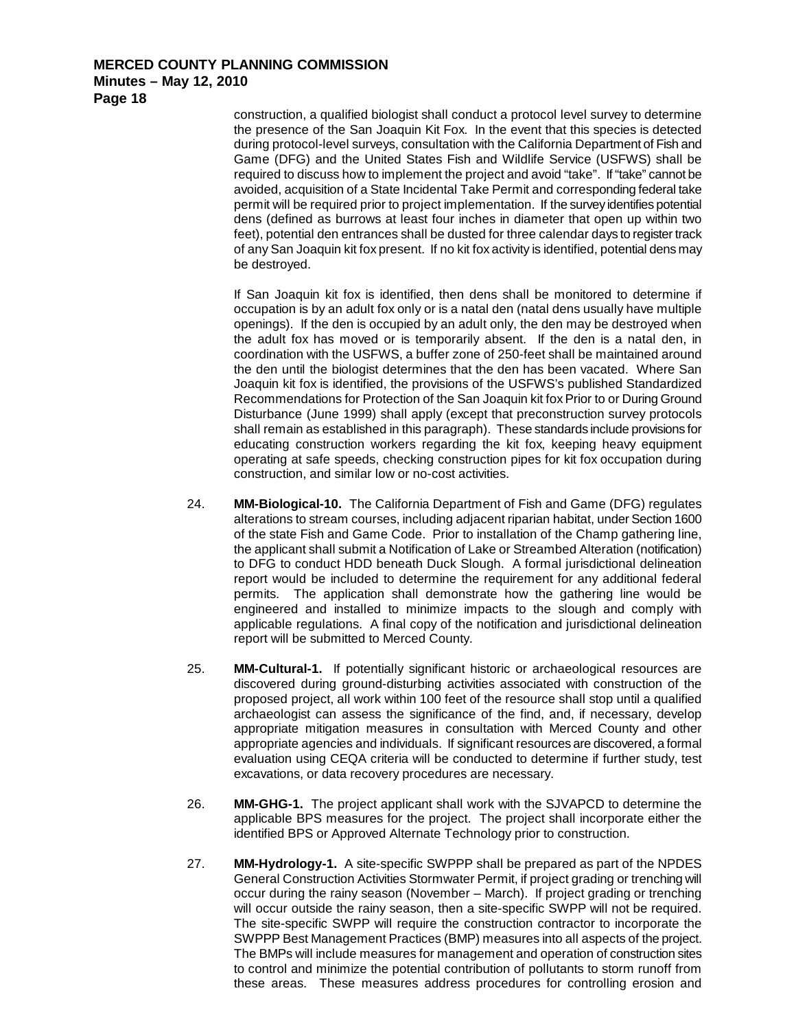construction, a qualified biologist shall conduct a protocol level survey to determine the presence of the San Joaquin Kit Fox. In the event that this species is detected during protocol-level surveys, consultation with the California Department of Fish and Game (DFG) and the United States Fish and Wildlife Service (USFWS) shall be required to discuss how to implement the project and avoid "take". If "take" cannot be avoided, acquisition of a State Incidental Take Permit and corresponding federal take permit will be required prior to project implementation. If the survey identifies potential dens (defined as burrows at least four inches in diameter that open up within two feet), potential den entrances shall be dusted for three calendar days to register track of any San Joaquin kit fox present. If no kit fox activity is identified, potential dens may be destroyed.

If San Joaquin kit fox is identified, then dens shall be monitored to determine if occupation is by an adult fox only or is a natal den (natal dens usually have multiple openings). If the den is occupied by an adult only, the den may be destroyed when the adult fox has moved or is temporarily absent. If the den is a natal den, in coordination with the USFWS, a buffer zone of 250-feet shall be maintained around the den until the biologist determines that the den has been vacated. Where San Joaquin kit fox is identified, the provisions of the USFWS's published Standardized Recommendations for Protection of the San Joaquin kit fox Prior to or During Ground Disturbance (June 1999) shall apply (except that preconstruction survey protocols shall remain as established in this paragraph). These standards include provisions for educating construction workers regarding the kit fox, keeping heavy equipment operating at safe speeds, checking construction pipes for kit fox occupation during construction, and similar low or no-cost activities.

- 24. **MM-Biological-10.** The California Department of Fish and Game (DFG) regulates alterations to stream courses, including adjacent riparian habitat, under Section 1600 of the state Fish and Game Code. Prior to installation of the Champ gathering line, the applicant shall submit a Notification of Lake or Streambed Alteration (notification) to DFG to conduct HDD beneath Duck Slough. A formal jurisdictional delineation report would be included to determine the requirement for any additional federal permits. The application shall demonstrate how the gathering line would be engineered and installed to minimize impacts to the slough and comply with applicable regulations. A final copy of the notification and jurisdictional delineation report will be submitted to Merced County.
- 25. **MM-Cultural-1.** If potentially significant historic or archaeological resources are discovered during ground-disturbing activities associated with construction of the proposed project, all work within 100 feet of the resource shall stop until a qualified archaeologist can assess the significance of the find, and, if necessary, develop appropriate mitigation measures in consultation with Merced County and other appropriate agencies and individuals. If significant resources are discovered, a formal evaluation using CEQA criteria will be conducted to determine if further study, test excavations, or data recovery procedures are necessary.
- 26. **MM-GHG-1.** The project applicant shall work with the SJVAPCD to determine the applicable BPS measures for the project. The project shall incorporate either the identified BPS or Approved Alternate Technology prior to construction.
- 27. **MM-Hydrology-1.** A site-specific SWPPP shall be prepared as part of the NPDES General Construction Activities Stormwater Permit, if project grading or trenching will occur during the rainy season (November – March). If project grading or trenching will occur outside the rainy season, then a site-specific SWPP will not be required. The site-specific SWPP will require the construction contractor to incorporate the SWPPP Best Management Practices (BMP) measures into all aspects of the project. The BMPs will include measures for management and operation of construction sites to control and minimize the potential contribution of pollutants to storm runoff from these areas. These measures address procedures for controlling erosion and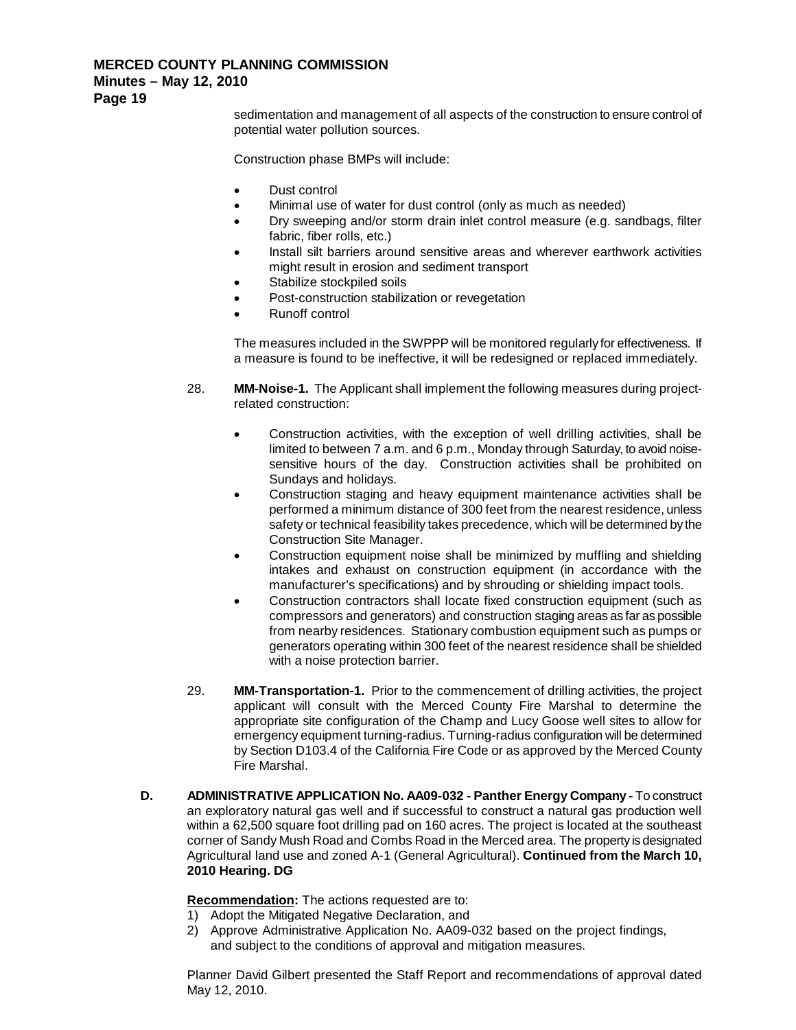## **Minutes – May 12, 2010**

**Page 19**

sedimentation and management of all aspects of the construction to ensure control of potential water pollution sources.

Construction phase BMPs will include:

- Dust control
- Minimal use of water for dust control (only as much as needed)
- Dry sweeping and/or storm drain inlet control measure (e.g. sandbags, filter fabric, fiber rolls, etc.)
- Install silt barriers around sensitive areas and wherever earthwork activities might result in erosion and sediment transport
- Stabilize stockpiled soils
- Post-construction stabilization or revegetation
- Runoff control

The measures included in the SWPPP will be monitored regularly for effectiveness. If a measure is found to be ineffective, it will be redesigned or replaced immediately.

- 28. **MM-Noise-1.** The Applicant shall implement the following measures during projectrelated construction:
	- Construction activities, with the exception of well drilling activities, shall be limited to between 7 a.m. and 6 p.m., Monday through Saturday, to avoid noisesensitive hours of the day. Construction activities shall be prohibited on Sundays and holidays.
	- Construction staging and heavy equipment maintenance activities shall be performed a minimum distance of 300 feet from the nearest residence, unless safety or technical feasibility takes precedence, which will be determined by the Construction Site Manager.
	- Construction equipment noise shall be minimized by muffling and shielding intakes and exhaust on construction equipment (in accordance with the manufacturer's specifications) and by shrouding or shielding impact tools.
	- Construction contractors shall locate fixed construction equipment (such as compressors and generators) and construction staging areas as far as possible from nearby residences. Stationary combustion equipment such as pumps or generators operating within 300 feet of the nearest residence shall be shielded with a noise protection barrier.
- 29. **MM-Transportation-1.** Prior to the commencement of drilling activities, the project applicant will consult with the Merced County Fire Marshal to determine the appropriate site configuration of the Champ and Lucy Goose well sites to allow for emergency equipment turning-radius. Turning-radius configuration will be determined by Section D103.4 of the California Fire Code or as approved by the Merced County Fire Marshal.
- **D. ADMINISTRATIVE APPLICATION No. AA09-032 - Panther Energy Company -** To construct an exploratory natural gas well and if successful to construct a natural gas production well within a 62,500 square foot drilling pad on 160 acres. The project is located at the southeast corner of Sandy Mush Road and Combs Road in the Merced area. The property is designated Agricultural land use and zoned A-1 (General Agricultural). **Continued from the March 10, 2010 Hearing. DG**

**Recommendation :** The actions requested are to:

- 1) Adopt the Mitigated Negative Declaration, and
- 2) Approve Administrative Application No. AA09-032 based on the project findings, and subject to the conditions of approval and mitigation measures.

Planner David Gilbert presented the Staff Report and recommendations of approval dated May 12, 2010.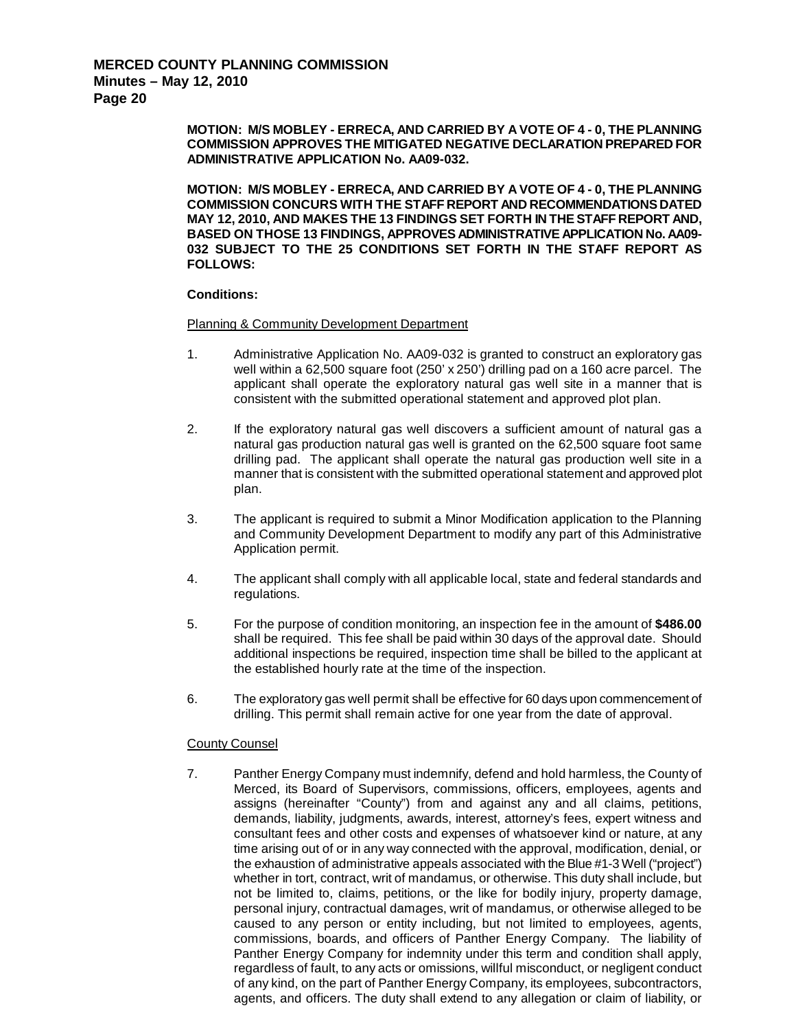**MOTION: M/S MOBLEY - ERRECA, AND CARRIED BY A VOTE OF 4 - 0, THE PLANNING COMMISSION APPROVES THE MITIGATED NEGATIVE DECLARATION PREPARED FOR ADMINISTRATIVE APPLICATION No. AA09-032.**

**MOTION: M/S MOBLEY - ERRECA, AND CARRIED BY A VOTE OF 4 - 0, THE PLANNING COMMISSION CONCURS WITH THE STAFF REPORT AND RECOMMENDATIONS DATED MAY 12, 2010, AND MAKES THE 13 FINDINGS SET FORTH IN THE STAFF REPORT AND, BASED ON THOSE 13 FINDINGS, APPROVES ADMINISTRATIVE APPLICATION No. AA09- 032 SUBJECT TO THE 25 CONDITIONS SET FORTH IN THE STAFF REPORT AS FOLLOWS:**

#### **Conditions:**

#### Planning & Community Development Department

- 1. Administrative Application No. AA09-032 is granted to construct an exploratory gas well within a 62,500 square foot (250' x 250') drilling pad on a 160 acre parcel. The applicant shall operate the exploratory natural gas well site in a manner that is consistent with the submitted operational statement and approved plot plan.
- 2. If the exploratory natural gas well discovers a sufficient amount of natural gas a natural gas production natural gas well is granted on the 62,500 square foot same drilling pad. The applicant shall operate the natural gas production well site in a manner that is consistent with the submitted operational statement and approved plot plan.
- 3. The applicant is required to submit a Minor Modification application to the Planning and Community Development Department to modify any part of this Administrative Application permit.
- 4. The applicant shall comply with all applicable local, state and federal standards and regulations.
- 5. For the purpose of condition monitoring, an inspection fee in the amount of **\$486.00** shall be required. This fee shall be paid within 30 days of the approval date. Should additional inspections be required, inspection time shall be billed to the applicant at the established hourly rate at the time of the inspection.
- 6. The exploratory gas well permit shall be effective for 60 days upon commencement of drilling. This permit shall remain active for one year from the date of approval.

## County Counsel

7. Panther Energy Company must indemnify, defend and hold harmless, the County of Merced, its Board of Supervisors, commissions, officers, employees, agents and assigns (hereinafter "County") from and against any and all claims, petitions, demands, liability, judgments, awards, interest, attorney's fees, expert witness and consultant fees and other costs and expenses of whatsoever kind or nature, at any time arising out of or in any way connected with the approval, modification, denial, or the exhaustion of administrative appeals associated with the Blue #1-3 Well ("project") whether in tort, contract, writ of mandamus, or otherwise. This duty shall include, but not be limited to, claims, petitions, or the like for bodily injury, property damage, personal injury, contractual damages, writ of mandamus, or otherwise alleged to be caused to any person or entity including, but not limited to employees, agents, commissions, boards, and officers of Panther Energy Company. The liability of Panther Energy Company for indemnity under this term and condition shall apply, regardless of fault, to any acts or omissions, willful misconduct, or negligent conduct of any kind, on the part of Panther Energy Company, its employees, subcontractors, agents, and officers. The duty shall extend to any allegation or claim of liability, or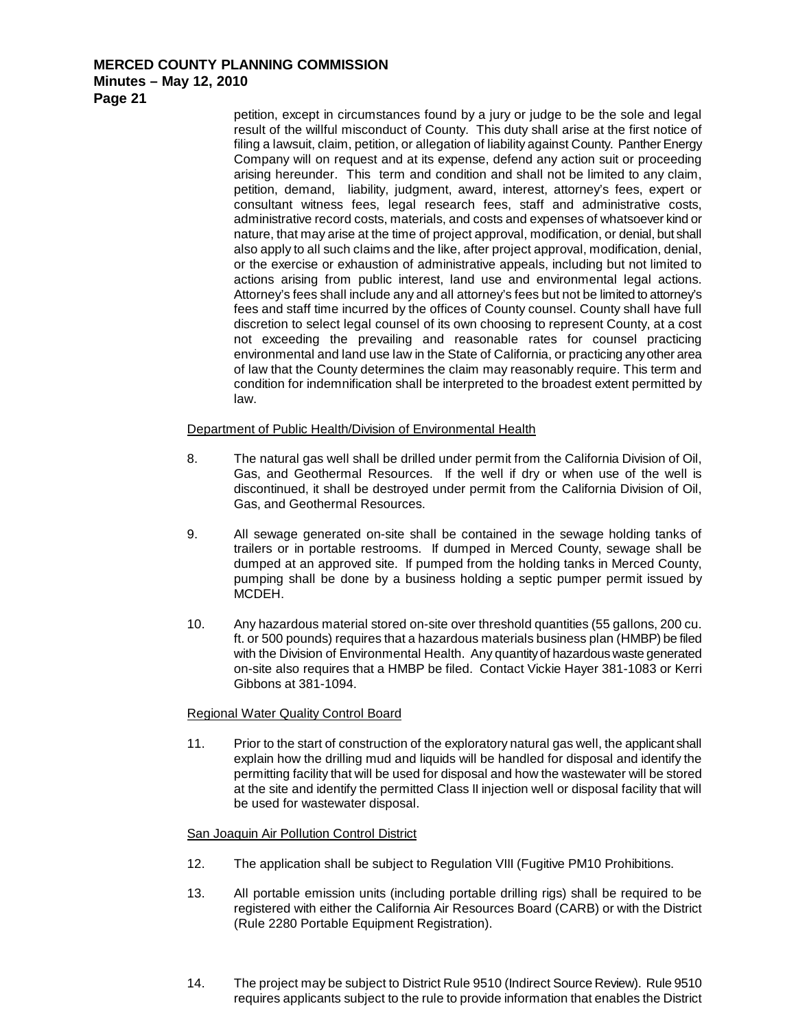**Minutes – May 12, 2010**

**Page 21**

petition, except in circumstances found by a jury or judge to be the sole and legal result of the willful misconduct of County. This duty shall arise at the first notice of filing a lawsuit, claim, petition, or allegation of liability against County. Panther Energy Company will on request and at its expense, defend any action suit or proceeding arising hereunder. This term and condition and shall not be limited to any claim, petition, demand, liability, judgment, award, interest, attorney's fees, expert or consultant witness fees, legal research fees, staff and administrative costs, administrative record costs, materials, and costs and expenses of whatsoever kind or nature, that may arise at the time of project approval, modification, or denial, but shall also apply to all such claims and the like, after project approval, modification, denial, or the exercise or exhaustion of administrative appeals, including but not limited to actions arising from public interest, land use and environmental legal actions. Attorney's fees shall include any and all attorney's fees but not be limited to attorney's fees and staff time incurred by the offices of County counsel. County shall have full discretion to select legal counsel of its own choosing to represent County, at a cost not exceeding the prevailing and reasonable rates for counsel practicing environmental and land use law in the State of California, or practicing any other area of law that the County determines the claim may reasonably require. This term and condition for indemnification shall be interpreted to the broadest extent permitted by law.

## Department of Public Health/Division of Environmental Health

- 8. The natural gas well shall be drilled under permit from the California Division of Oil, Gas, and Geothermal Resources. If the well if dry or when use of the well is discontinued, it shall be destroyed under permit from the California Division of Oil, Gas, and Geothermal Resources.
- 9. All sewage generated on-site shall be contained in the sewage holding tanks of trailers or in portable restrooms. If dumped in Merced County, sewage shall be dumped at an approved site. If pumped from the holding tanks in Merced County, pumping shall be done by a business holding a septic pumper permit issued by MCDEH.
- 10. Any hazardous material stored on-site over threshold quantities (55 gallons, 200 cu. ft. or 500 pounds) requires that a hazardous materials business plan (HMBP) be filed with the Division of Environmental Health. Any quantity of hazardous waste generated on-site also requires that a HMBP be filed. Contact Vickie Hayer 381-1083 or Kerri Gibbons at 381-1094.

## Regional Water Quality Control Board

11. Prior to the start of construction of the exploratory natural gas well, the applicant shall explain how the drilling mud and liquids will be handled for disposal and identify the permitting facility that will be used for disposal and how the wastewater will be stored at the site and identify the permitted Class II injection well or disposal facility that will be used for wastewater disposal.

## San Joaquin Air Pollution Control District

- 12. The application shall be subject to Regulation VIII (Fugitive PM10 Prohibitions.
- 13. All portable emission units (including portable drilling rigs) shall be required to be registered with either the California Air Resources Board (CARB) or with the District (Rule 2280 Portable Equipment Registration).
- 14. The project may be subject to District Rule 9510 (Indirect Source Review). Rule 9510 requires applicants subject to the rule to provide information that enables the District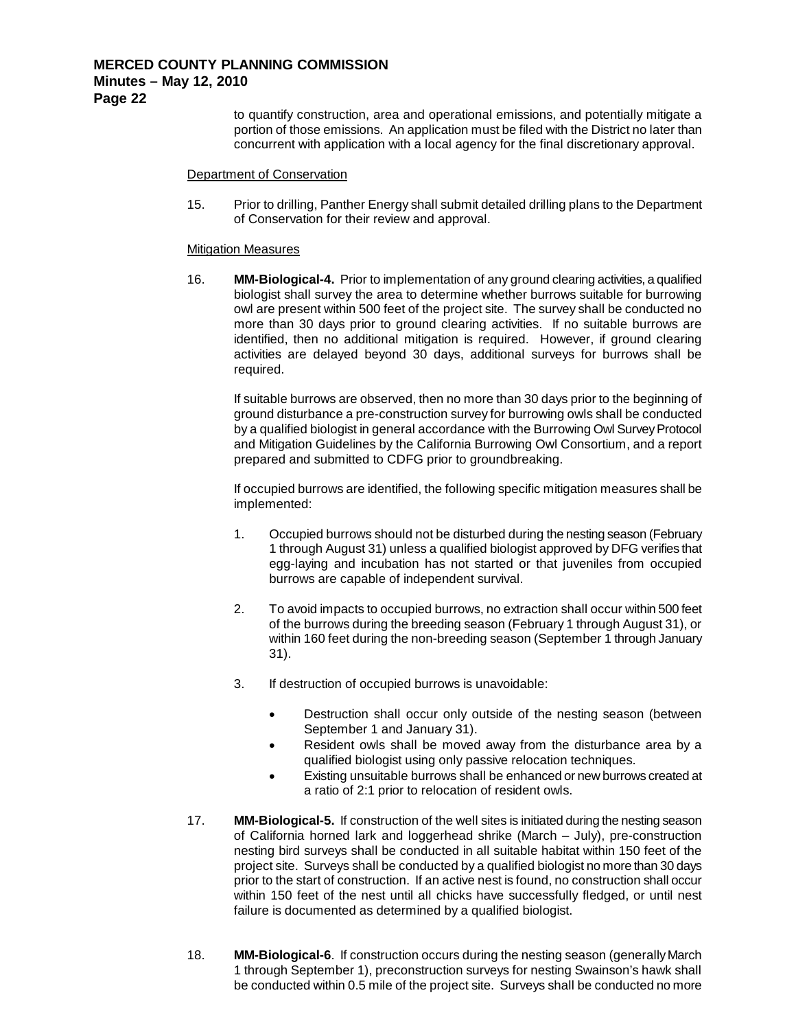to quantify construction, area and operational emissions, and potentially mitigate a portion of those emissions. An application must be filed with the District no later than concurrent with application with a local agency for the final discretionary approval.

#### Department of Conservation

15. Prior to drilling, Panther Energy shall submit detailed drilling plans to the Department of Conservation for their review and approval.

#### **Mitigation Measures**

16. **MM-Biological-4.** Prior to implementation of any ground clearing activities, a qualified biologist shall survey the area to determine whether burrows suitable for burrowing owl are present within 500 feet of the project site. The survey shall be conducted no more than 30 days prior to ground clearing activities. If no suitable burrows are identified, then no additional mitigation is required. However, if ground clearing activities are delayed beyond 30 days, additional surveys for burrows shall be required.

If suitable burrows are observed, then no more than 30 days prior to the beginning of ground disturbance a pre-construction survey for burrowing owls shall be conducted by a qualified biologist in general accordance with the Burrowing Owl Survey Protocol and Mitigation Guidelines by the California Burrowing Owl Consortium, and a report prepared and submitted to CDFG prior to groundbreaking.

If occupied burrows are identified, the following specific mitigation measures shall be implemented:

- 1. Occupied burrows should not be disturbed during the nesting season (February 1 through August 31) unless a qualified biologist approved by DFG verifies that egg-laying and incubation has not started or that juveniles from occupied burrows are capable of independent survival.
- 2. To avoid impacts to occupied burrows, no extraction shall occur within 500 feet of the burrows during the breeding season (February 1 through August 31), or within 160 feet during the non-breeding season (September 1 through January 31).
- 3. If destruction of occupied burrows is unavoidable:
	- Destruction shall occur only outside of the nesting season (between September 1 and January 31).
	- Resident owls shall be moved away from the disturbance area by a qualified biologist using only passive relocation techniques.
	- Existing unsuitable burrows shall be enhanced or new burrows created at a ratio of 2:1 prior to relocation of resident owls.
- 17. **MM-Biological-5.** If construction of the well sites is initiated during the nesting season of California horned lark and loggerhead shrike (March – July), pre-construction nesting bird surveys shall be conducted in all suitable habitat within 150 feet of the project site. Surveys shall be conducted by a qualified biologist no more than 30 days prior to the start of construction. If an active nest is found, no construction shall occur within 150 feet of the nest until all chicks have successfully fledged, or until nest failure is documented as determined by a qualified biologist.
- 18. **MM-Biological-6**. If construction occurs during the nesting season (generally March 1 through September 1), preconstruction surveys for nesting Swainson's hawk shall be conducted within 0.5 mile of the project site. Surveys shall be conducted no more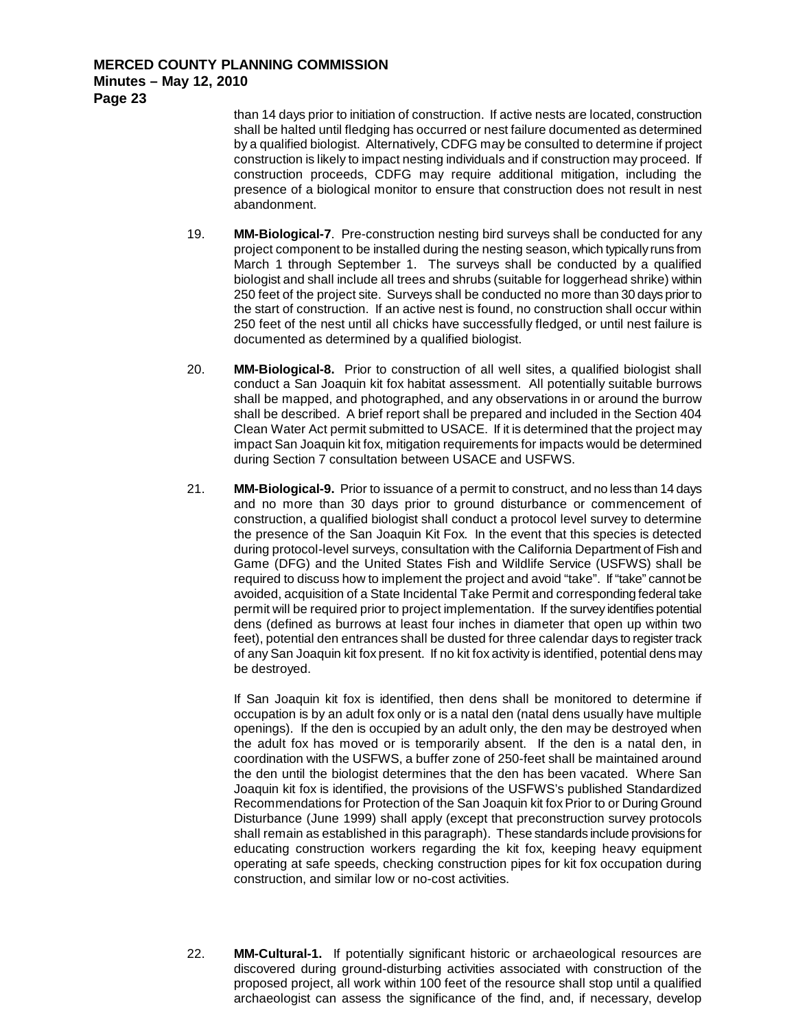> than 14 days prior to initiation of construction. If active nests are located, construction shall be halted until fledging has occurred or nest failure documented as determined by a qualified biologist. Alternatively, CDFG may be consulted to determine if project construction is likely to impact nesting individuals and if construction may proceed. If construction proceeds, CDFG may require additional mitigation, including the presence of a biological monitor to ensure that construction does not result in nest abandonment.

- 19. **MM-Biological-7**. Pre-construction nesting bird surveys shall be conducted for any project component to be installed during the nesting season, which typically runs from March 1 through September 1. The surveys shall be conducted by a qualified biologist and shall include all trees and shrubs (suitable for loggerhead shrike) within 250 feet of the project site. Surveys shall be conducted no more than 30 days prior to the start of construction. If an active nest is found, no construction shall occur within 250 feet of the nest until all chicks have successfully fledged, or until nest failure is documented as determined by a qualified biologist.
- 20. **MM-Biological-8.** Prior to construction of all well sites, a qualified biologist shall conduct a San Joaquin kit fox habitat assessment. All potentially suitable burrows shall be mapped, and photographed, and any observations in or around the burrow shall be described. A brief report shall be prepared and included in the Section 404 Clean Water Act permit submitted to USACE. If it is determined that the project may impact San Joaquin kit fox, mitigation requirements for impacts would be determined during Section 7 consultation between USACE and USFWS.
- 21. **MM-Biological-9.** Prior to issuance of a permit to construct, and no less than 14 days and no more than 30 days prior to ground disturbance or commencement of construction, a qualified biologist shall conduct a protocol level survey to determine the presence of the San Joaquin Kit Fox. In the event that this species is detected during protocol-level surveys, consultation with the California Department of Fish and Game (DFG) and the United States Fish and Wildlife Service (USFWS) shall be required to discuss how to implement the project and avoid "take". If "take" cannot be avoided, acquisition of a State Incidental Take Permit and corresponding federal take permit will be required prior to project implementation. If the survey identifies potential dens (defined as burrows at least four inches in diameter that open up within two feet), potential den entrances shall be dusted for three calendar days to register track of any San Joaquin kit fox present. If no kit fox activity is identified, potential dens may be destroyed.

If San Joaquin kit fox is identified, then dens shall be monitored to determine if occupation is by an adult fox only or is a natal den (natal dens usually have multiple openings). If the den is occupied by an adult only, the den may be destroyed when the adult fox has moved or is temporarily absent. If the den is a natal den, in coordination with the USFWS, a buffer zone of 250-feet shall be maintained around the den until the biologist determines that the den has been vacated. Where San Joaquin kit fox is identified, the provisions of the USFWS's published Standardized Recommendations for Protection of the San Joaquin kit fox Prior to or During Ground Disturbance (June 1999) shall apply (except that preconstruction survey protocols shall remain as established in this paragraph). These standards include provisions for educating construction workers regarding the kit fox, keeping heavy equipment operating at safe speeds, checking construction pipes for kit fox occupation during construction, and similar low or no-cost activities.

22. **MM-Cultural-1.** If potentially significant historic or archaeological resources are discovered during ground-disturbing activities associated with construction of the proposed project, all work within 100 feet of the resource shall stop until a qualified archaeologist can assess the significance of the find, and, if necessary, develop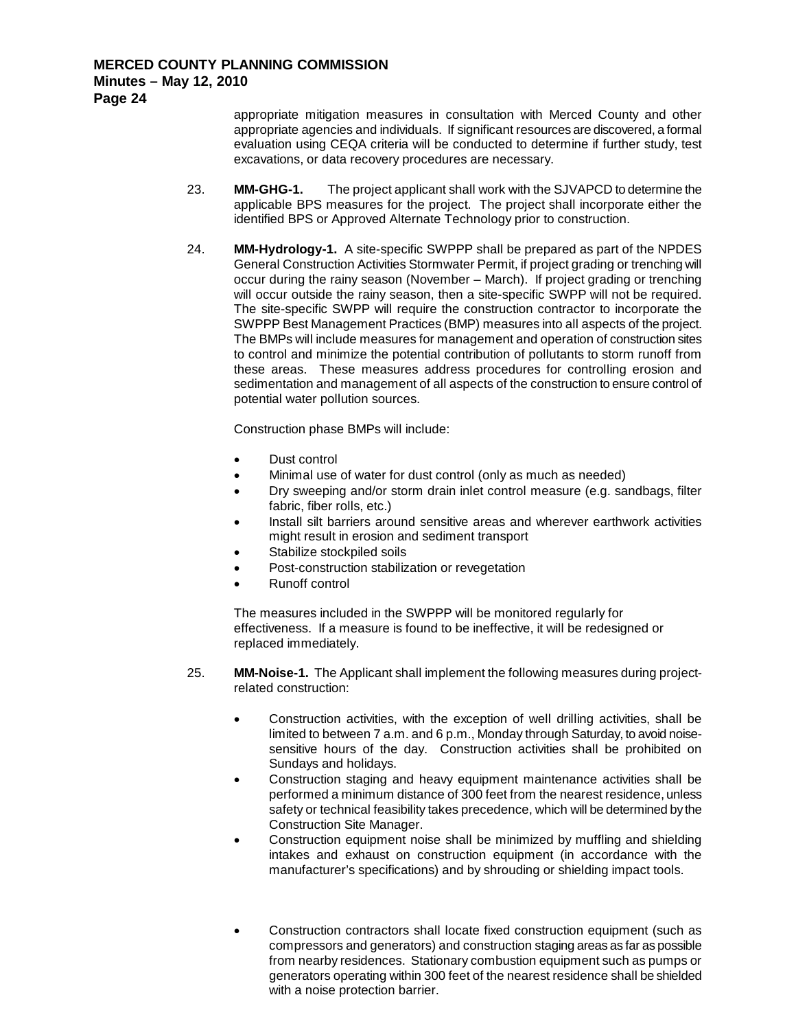**Page 24**

appropriate mitigation measures in consultation with Merced County and other appropriate agencies and individuals. If significant resources are discovered, a formal evaluation using CEQA criteria will be conducted to determine if further study, test excavations, or data recovery procedures are necessary.

- 23. **MM-GHG-1.** The project applicant shall work with the SJVAPCD to determine the applicable BPS measures for the project. The project shall incorporate either the identified BPS or Approved Alternate Technology prior to construction.
- 24. **MM-Hydrology-1.** A site-specific SWPPP shall be prepared as part of the NPDES General Construction Activities Stormwater Permit, if project grading or trenching will occur during the rainy season (November – March). If project grading or trenching will occur outside the rainy season, then a site-specific SWPP will not be required. The site-specific SWPP will require the construction contractor to incorporate the SWPPP Best Management Practices (BMP) measures into all aspects of the project. The BMPs will include measures for management and operation of construction sites to control and minimize the potential contribution of pollutants to storm runoff from these areas. These measures address procedures for controlling erosion and sedimentation and management of all aspects of the construction to ensure control of potential water pollution sources.

Construction phase BMPs will include:

- Dust control
- Minimal use of water for dust control (only as much as needed)
- Dry sweeping and/or storm drain inlet control measure (e.g. sandbags, filter fabric, fiber rolls, etc.)
- Install silt barriers around sensitive areas and wherever earthwork activities might result in erosion and sediment transport
- Stabilize stockpiled soils
- Post-construction stabilization or revegetation
- Runoff control

The measures included in the SWPPP will be monitored regularly for effectiveness. If a measure is found to be ineffective, it will be redesigned or replaced immediately.

- 25. **MM-Noise-1.** The Applicant shall implement the following measures during projectrelated construction:
	- Construction activities, with the exception of well drilling activities, shall be limited to between 7 a.m. and 6 p.m., Monday through Saturday, to avoid noisesensitive hours of the day. Construction activities shall be prohibited on Sundays and holidays.
	- Construction staging and heavy equipment maintenance activities shall be performed a minimum distance of 300 feet from the nearest residence, unless safety or technical feasibility takes precedence, which will be determined by the Construction Site Manager.
	- Construction equipment noise shall be minimized by muffling and shielding intakes and exhaust on construction equipment (in accordance with the manufacturer's specifications) and by shrouding or shielding impact tools.
	- Construction contractors shall locate fixed construction equipment (such as compressors and generators) and construction staging areas as far as possible from nearby residences. Stationary combustion equipment such as pumps or generators operating within 300 feet of the nearest residence shall be shielded with a noise protection barrier.